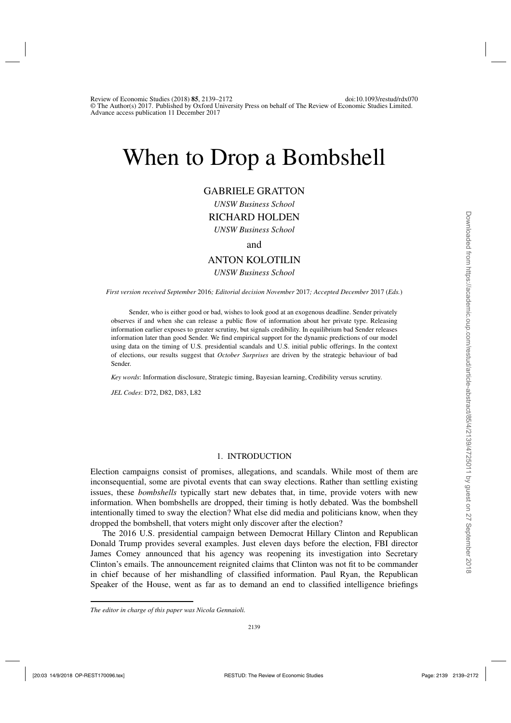# When to Drop a Bombshell

# GABRIELE GRATTON

*UNSW Business School* RICHARD HOLDEN

*UNSW Business School*

and

# ANTON KOLOTILIN

#### *UNSW Business School*

*First version received September* 2016*; Editorial decision November* 2017*; Accepted December* 2017 (*Eds.*)

Sender, who is either good or bad, wishes to look good at an exogenous deadline. Sender privately observes if and when she can release a public flow of information about her private type. Releasing information earlier exposes to greater scrutiny, but signals credibility. In equilibrium bad Sender releases information later than good Sender. We find empirical support for the dynamic predictions of our model using data on the timing of U.S. presidential scandals and U.S. initial public offerings. In the context of elections, our results suggest that *October Surprises* are driven by the strategic behaviour of bad Sender.

*Key words*: Information disclosure, Strategic timing, Bayesian learning, Credibility versus scrutiny.

*JEL Codes*: D72, D82, D83, L82

# 1. INTRODUCTION

Election campaigns consist of promises, allegations, and scandals. While most of them are inconsequential, some are pivotal events that can sway elections. Rather than settling existing issues, these *bombshells* typically start new debates that, in time, provide voters with new information. When bombshells are dropped, their timing is hotly debated. Was the bombshell intentionally timed to sway the election? What else did media and politicians know, when they dropped the bombshell, that voters might only discover after the election?

The 2016 U.S. presidential campaign between Democrat Hillary Clinton and Republican Donald Trump provides several examples. Just eleven days before the election, FBI director James Comey announced that his agency was reopening its investigation into Secretary Clinton's emails. The announcement reignited claims that Clinton was not fit to be commander in chief because of her mishandling of classified information. Paul Ryan, the Republican Speaker of the House, went as far as to demand an end to classified intelligence briefings

*The editor in charge of this paper was Nicola Gennaioli.*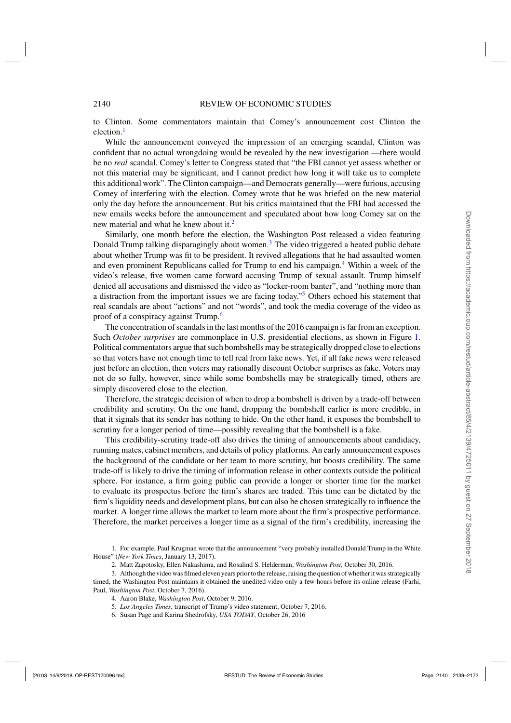to Clinton. Some commentators maintain that Comey's announcement cost Clinton the election. $<sup>1</sup>$ </sup>

While the announcement conveyed the impression of an emerging scandal, Clinton was confident that no actual wrongdoing would be revealed by the new investigation —there would be no *real* scandal. Comey's letter to Congress stated that "the FBI cannot yet assess whether or not this material may be significant, and I cannot predict how long it will take us to complete this additional work". The Clinton campaign—and Democrats generally—were furious, accusing Comey of interfering with the election. Comey wrote that he was briefed on the new material only the day before the announcement. But his critics maintained that the FBI had accessed the new emails weeks before the announcement and speculated about how long Comey sat on the new material and what he knew about it.<sup>2</sup>

Similarly, one month before the election, the Washington Post released a video featuring Donald Trump talking disparagingly about women.<sup>3</sup> The video triggered a heated public debate about whether Trump was fit to be president. It revived allegations that he had assaulted women and even prominent Republicans called for Trump to end his campaign.<sup>4</sup> Within a week of the video's release, five women came forward accusing Trump of sexual assault. Trump himself denied all accusations and dismissed the video as "locker-room banter", and "nothing more than a distraction from the important issues we are facing today."<sup>5</sup> Others echoed his statement that real scandals are about "actions" and not "words", and took the media coverage of the video as proof of a conspiracy against Trump.<sup>6</sup>

The concentration of scandals in the last months of the 2016 campaign is far from an exception. Such *October surprises* are commonplace in U.S. presidential elections, as shown in Figure [1.](#page-2-0) Political commentators argue that such bombshells may be strategically dropped close to elections so that voters have not enough time to tell real from fake news. Yet, if all fake news were released just before an election, then voters may rationally discount October surprises as fake. Voters may not do so fully, however, since while some bombshells may be strategically timed, others are simply discovered close to the election.

Therefore, the strategic decision of when to drop a bombshell is driven by a trade-off between credibility and scrutiny. On the one hand, dropping the bombshell earlier is more credible, in that it signals that its sender has nothing to hide. On the other hand, it exposes the bombshell to scrutiny for a longer period of time—possibly revealing that the bombshell is a fake.

This credibility-scrutiny trade-off also drives the timing of announcements about candidacy, running mates, cabinet members, and details of policy platforms. An early announcement exposes the background of the candidate or her team to more scrutiny, but boosts credibility. The same trade-off is likely to drive the timing of information release in other contexts outside the political sphere. For instance, a firm going public can provide a longer or shorter time for the market to evaluate its prospectus before the firm's shares are traded. This time can be dictated by the firm's liquidity needs and development plans, but can also be chosen strategically to influence the market. A longer time allows the market to learn more about the firm's prospective performance. Therefore, the market perceives a longer time as a signal of the firm's credibility, increasing the

1. For example, Paul Krugman wrote that the announcement "very probably installed Donald Trump in the White House" (*New York Times*, January 13, 2017).

2. Matt Zapotosky, Ellen Nakashima, and Rosalind S. Helderman, *Washington Post*, October 30, 2016.

- 3. Although the video was filmed eleven years prior to the release, raising the question of whether it was strategically timed, the Washington Post maintains it obtained the unedited video only a few hours before its online release (Farhi, Paul, *Washington Post*, October 7, 2016).
	- 4. Aaron Blake, *Washington Post*, October 9, 2016.
	- 5. *Los Angeles Times*, transcript of Trump's video statement, October 7, 2016.
	- 6. Susan Page and Karina Shedrofsky, *USA TODAY*, October 26, 2016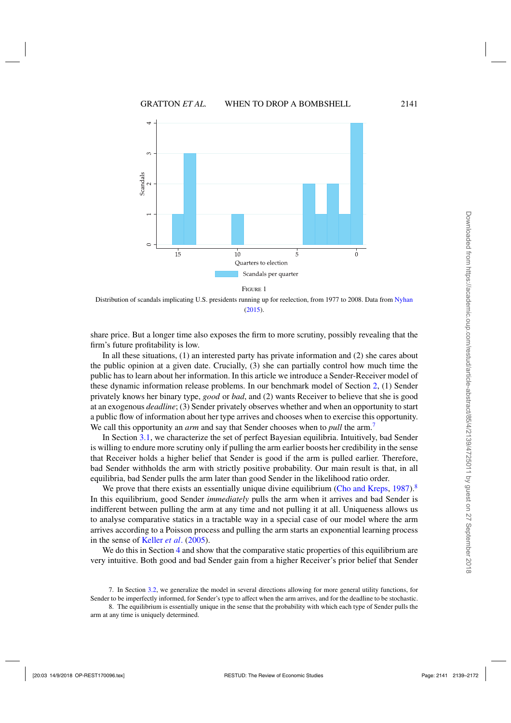<span id="page-2-0"></span>

Distribution of scandals implicating U.S. presidents running up for reelection, from 1977 to 2008. Data from [Nyhan](#page-32-0) [\(2015](#page-32-0)).

share price. But a longer time also exposes the firm to more scrutiny, possibly revealing that the firm's future profitability is low.

In all these situations, (1) an interested party has private information and (2) she cares about the public opinion at a given date. Crucially, (3) she can partially control how much time the public has to learn about her information. In this article we introduce a Sender-Receiver model of these dynamic information release problems. In our benchmark model of Section [2,](#page-4-0) (1) Sender privately knows her binary type, *good* or *bad*, and (2) wants Receiver to believe that she is good at an exogenous *deadline*; (3) Sender privately observes whether and when an opportunity to start a public flow of information about her type arrives and chooses when to exercise this opportunity. We call this opportunity an *arm* and say that Sender chooses when to *pull* the arm.<sup>7</sup>

In Section [3.1,](#page-6-0) we characterize the set of perfect Bayesian equilibria. Intuitively, bad Sender is willing to endure more scrutiny only if pulling the arm earlier boosts her credibility in the sense that Receiver holds a higher belief that Sender is good if the arm is pulled earlier. Therefore, bad Sender withholds the arm with strictly positive probability. Our main result is that, in all equilibria, bad Sender pulls the arm later than good Sender in the likelihood ratio order.

We prove that there exists an essentially unique divine equilibrium [\(Cho and Kreps](#page-32-0), [1987](#page-32-0)).<sup>8</sup> In this equilibrium, good Sender *immediately* pulls the arm when it arrives and bad Sender is indifferent between pulling the arm at any time and not pulling it at all. Uniqueness allows us to analyse comparative statics in a tractable way in a special case of our model where the arm arrives according to a Poisson process and pulling the arm starts an exponential learning process in the sense of [Keller](#page-32-0) *et al*. [\(2005](#page-32-0)).

We do this in Section [4](#page-12-0) and show that the comparative static properties of this equilibrium are very intuitive. Both good and bad Sender gain from a higher Receiver's prior belief that Sender

7. In Section [3.2,](#page-9-0) we generalize the model in several directions allowing for more general utility functions, for Sender to be imperfectly informed, for Sender's type to affect when the arm arrives, and for the deadline to be stochastic.

8. The equilibrium is essentially unique in the sense that the probability with which each type of Sender pulls the arm at any time is uniquely determined.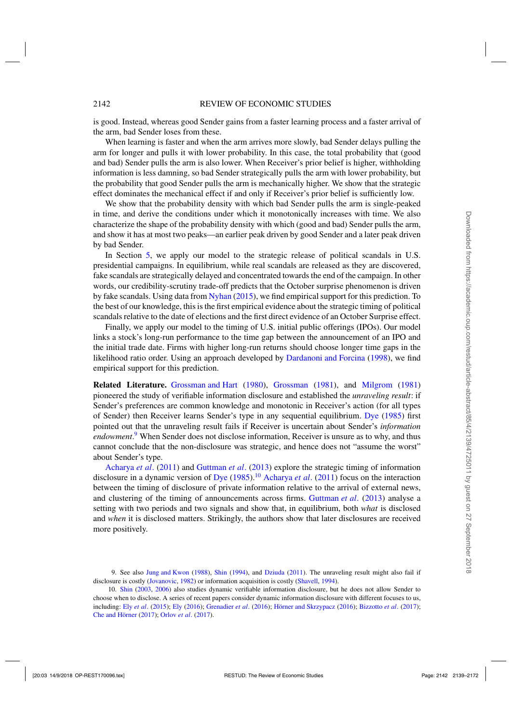is good. Instead, whereas good Sender gains from a faster learning process and a faster arrival of the arm, bad Sender loses from these.

When learning is faster and when the arm arrives more slowly, bad Sender delays pulling the arm for longer and pulls it with lower probability. In this case, the total probability that (good and bad) Sender pulls the arm is also lower. When Receiver's prior belief is higher, withholding information is less damning, so bad Sender strategically pulls the arm with lower probability, but the probability that good Sender pulls the arm is mechanically higher. We show that the strategic effect dominates the mechanical effect if and only if Receiver's prior belief is sufficiently low.

We show that the probability density with which bad Sender pulls the arm is single-peaked in time, and derive the conditions under which it monotonically increases with time. We also characterize the shape of the probability density with which (good and bad) Sender pulls the arm, and show it has at most two peaks—an earlier peak driven by good Sender and a later peak driven by bad Sender.

In Section [5,](#page-17-0) we apply our model to the strategic release of political scandals in U.S. presidential campaigns. In equilibrium, while real scandals are released as they are discovered, fake scandals are strategically delayed and concentrated towards the end of the campaign. In other words, our credibility-scrutiny trade-off predicts that the October surprise phenomenon is driven by fake scandals. Using data from [Nyhan](#page-32-0) [\(2015](#page-32-0)), we find empirical support for this prediction. To the best of our knowledge, this is the first empirical evidence about the strategic timing of political scandals relative to the date of elections and the first direct evidence of an October Surprise effect.

Finally, we apply our model to the timing of U.S. initial public offerings (IPOs). Our model links a stock's long-run performance to the time gap between the announcement of an IPO and the initial trade date. Firms with higher long-run returns should choose longer time gaps in the likelihood ratio order. Using an approach developed by [Dardanoni and Forcina](#page-32-0) [\(1998](#page-32-0)), we find empirical support for this prediction.

**Related Literature.** [Grossman and Hart](#page-32-0) [\(1980\)](#page-32-0), [Grossman](#page-32-0) [\(1981\)](#page-32-0), and [Milgrom](#page-32-0) [\(1981\)](#page-32-0) pioneered the study of verifiable information disclosure and established the *unraveling result*: if Sender's preferences are common knowledge and monotonic in Receiver's action (for all types of Sender) then Receiver learns Sender's type in any sequential equilibrium. [Dye](#page-32-0) [\(1985\)](#page-32-0) first pointed out that the unraveling result fails if Receiver is uncertain about Sender's *information endowment*. <sup>9</sup> When Sender does not disclose information, Receiver is unsure as to why, and thus cannot conclude that the non-disclosure was strategic, and hence does not "assume the worst" about Sender's type.

[Acharya](#page-32-0) *et al*. [\(2011\)](#page-32-0) and [Guttman](#page-32-0) *et al*. [\(2013](#page-32-0)) explore the strategic timing of information disclosure in a dynamic version of [Dye](#page-32-0) [\(1985](#page-32-0)).<sup>10</sup> [Acharya](#page-32-0) *et al.* [\(2011](#page-32-0)) focus on the interaction between the timing of disclosure of private information relative to the arrival of external news, and clustering of the timing of announcements across firms. [Guttman](#page-32-0) *et al*. [\(2013](#page-32-0)) analyse a setting with two periods and two signals and show that, in equilibrium, both *what* is disclosed and *when* it is disclosed matters. Strikingly, the authors show that later disclosures are received more positively.

<sup>9.</sup> See also [Jung and Kwon](#page-32-0) [\(1988](#page-32-0)), [Shin](#page-33-0) [\(1994](#page-33-0)), and [Dziuda](#page-32-0) [\(2011](#page-32-0)). The unraveling result might also fail if disclosure is costly [\(Jovanovic,](#page-32-0) [1982\)](#page-32-0) or information acquisition is costly [\(Shavell](#page-33-0), [1994](#page-33-0)).

<sup>10.</sup> [Shin](#page-33-0) [\(2003](#page-33-0), [2006](#page-33-0)) also studies dynamic verifiable information disclosure, but he does not allow Sender to choose when to disclose. A series of recent papers consider dynamic information disclosure with different focuses to us, including: Ely *[et al](#page-32-0)*. [\(2015](#page-32-0)); [Ely](#page-32-0) [\(2016](#page-32-0)); [Grenadier](#page-32-0) *et al*. [\(2016](#page-32-0)); [Hörner and Skrzypacz](#page-32-0) [\(2016](#page-32-0)); [Bizzotto](#page-32-0) *et al*. [\(2017](#page-32-0)); [Che and Hörner](#page-32-0) [\(2017](#page-32-0)); [Orlov](#page-32-0) *et al*. [\(2017\)](#page-32-0).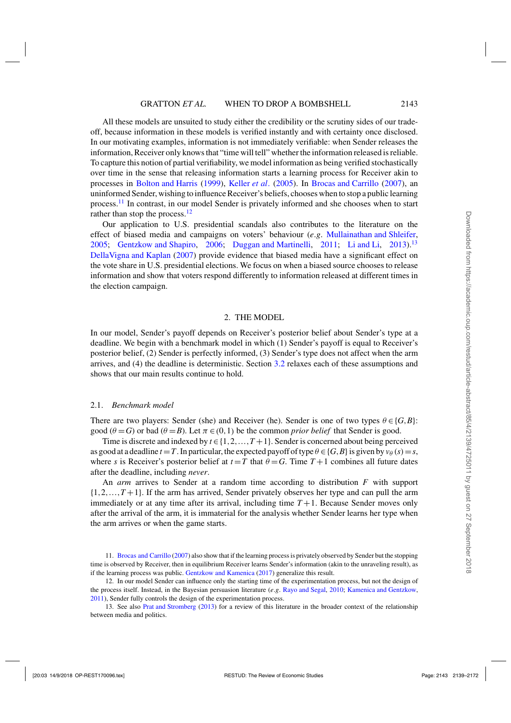<span id="page-4-0"></span>All these models are unsuited to study either the credibility or the scrutiny sides of our tradeoff, because information in these models is verified instantly and with certainty once disclosed. In our motivating examples, information is not immediately verifiable: when Sender releases the information, Receiver only knows that "time will tell" whether the information released is reliable. To capture this notion of partial verifiability, we model information as being verified stochastically over time in the sense that releasing information starts a learning process for Receiver akin to processes in [Bolton and Harris](#page-32-0) [\(1999](#page-32-0)), [Keller](#page-32-0) *et al*. [\(2005\)](#page-32-0). In [Brocas and Carrillo](#page-32-0) [\(2007](#page-32-0)), an uninformed Sender, wishing to influence Receiver's beliefs, chooses when to stop a public learning process.<sup>11</sup> In contrast, in our model Sender is privately informed and she chooses when to start rather than stop the process. $12$ 

Our application to U.S. presidential scandals also contributes to the literature on the effect of biased media and campaigns on voters' behaviour (*e*.*g*. [Mullainathan and Shleifer](#page-32-0), [2005](#page-32-0); [Gentzkow and Shapiro](#page-32-0), [2006;](#page-32-0) [Duggan and Martinelli](#page-32-0), [2011](#page-32-0); [Li and Li](#page-32-0), [2013\)](#page-32-0).<sup>13</sup> [DellaVigna and Kaplan](#page-32-0) [\(2007](#page-32-0)) provide evidence that biased media have a significant effect on the vote share in U.S. presidential elections. We focus on when a biased source chooses to release information and show that voters respond differently to information released at different times in the election campaign.

#### 2. THE MODEL

In our model, Sender's payoff depends on Receiver's posterior belief about Sender's type at a deadline. We begin with a benchmark model in which (1) Sender's payoff is equal to Receiver's posterior belief, (2) Sender is perfectly informed, (3) Sender's type does not affect when the arm arrives, and (4) the deadline is deterministic. Section [3.2](#page-9-0) relaxes each of these assumptions and shows that our main results continue to hold.

#### 2.1. *Benchmark model*

There are two players: Sender (she) and Receiver (he). Sender is one of two types  $\theta \in \{G, B\}$ : good ( $\theta = G$ ) or bad ( $\theta = B$ ). Let  $\pi \in (0, 1)$  be the common *prior belief* that Sender is good.

Time is discrete and indexed by  $t \in \{1, 2, ..., T + 1\}$ . Sender is concerned about being perceived as good at a deadline  $t = T$ . In particular, the expected payoff of type  $\theta \in \{G, B\}$  is given by  $v_{\theta}(s) = s$ , where *s* is Receiver's posterior belief at  $t = T$  that  $\theta = G$ . Time  $T + 1$  combines all future dates after the deadline, including *never*.

An *arm* arrives to Sender at a random time according to distribution *F* with support  $\{1,2,\ldots,T+1\}$ . If the arm has arrived, Sender privately observes her type and can pull the arm immediately or at any time after its arrival, including time  $T + 1$ . Because Sender moves only after the arrival of the arm, it is immaterial for the analysis whether Sender learns her type when the arm arrives or when the game starts.

<sup>11.</sup> [Brocas and Carrillo](#page-32-0) [\(2007](#page-32-0)) also show that if the learning process is privately observed by Sender but the stopping time is observed by Receiver, then in equilibrium Receiver learns Sender's information (akin to the unraveling result), as if the learning process was public. [Gentzkow and Kamenica](#page-32-0) [\(2017](#page-32-0)) generalize this result.

<sup>12.</sup> In our model Sender can influence only the starting time of the experimentation process, but not the design of the process itself. Instead, in the Bayesian persuasion literature (*e*.*g*. [Rayo and Segal,](#page-32-0) [2010;](#page-32-0) [Kamenica and Gentzkow,](#page-32-0) [2011\)](#page-32-0), Sender fully controls the design of the experimentation process.

<sup>13.</sup> See also [Prat and Stromberg](#page-32-0) [\(2013\)](#page-32-0) for a review of this literature in the broader context of the relationship between media and politics.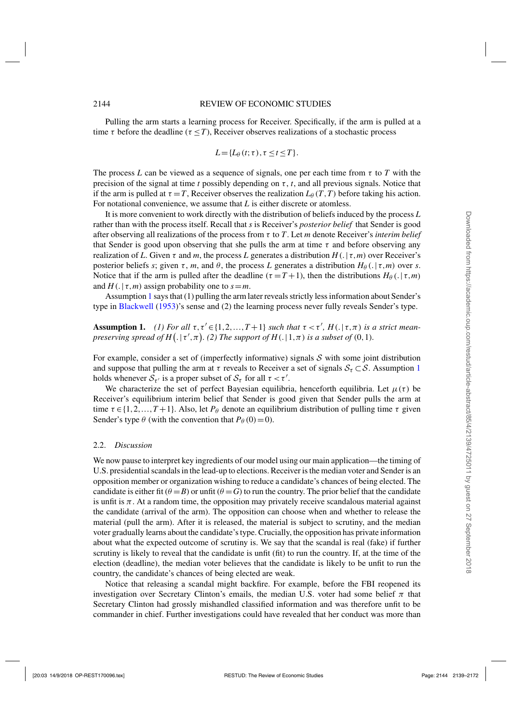<span id="page-5-0"></span>Pulling the arm starts a learning process for Receiver. Specifically, if the arm is pulled at a time  $\tau$  before the deadline ( $\tau \leq T$ ), Receiver observes realizations of a stochastic process

$$
L = \{L_{\theta}(t;\tau), \tau \leq t \leq T\}.
$$

The process *L* can be viewed as a sequence of signals, one per each time from  $\tau$  to *T* with the precision of the signal at time  $t$  possibly depending on  $\tau$ ,  $t$ , and all previous signals. Notice that if the arm is pulled at  $\tau = T$ , Receiver observes the realization  $L_{\theta}(T,T)$  before taking his action. For notational convenience, we assume that *L* is either discrete or atomless.

It is more convenient to work directly with the distribution of beliefs induced by the process *L* rather than with the process itself. Recall that *s* is Receiver's *posterior belief* that Sender is good after observing all realizations of the process from τ to *T*. Let *m* denote Receiver's *interim belief* that Sender is good upon observing that she pulls the arm at time  $\tau$  and before observing any realization of *L*. Given τ and *m*, the process *L* generates a distribution *H*(.| τ,*m*) over Receiver's posterior beliefs *s*; given  $\tau$ , *m*, and  $\theta$ , the process *L* generates a distribution  $H_{\theta}(.|\tau,m)$  over *s*. Notice that if the arm is pulled after the deadline  $(\tau = T + 1)$ , then the distributions  $H_\theta(.) | \tau, m$ and  $H(.) \tau, m)$  assign probability one to  $s = m$ .

Assumption 1 says that (1) pulling the arm later reveals strictly less information about Sender's type in [Blackwell](#page-32-0) [\(1953\)](#page-32-0)'s sense and (2) the learning process never fully reveals Sender's type.

**Assumption 1.** (1) For all  $\tau, \tau' \in \{1, 2, ..., T+1\}$  such that  $\tau < \tau'$ ,  $H(.) | \tau, \pi)$  is a strict mean*preserving spread of H*( $. | \tau', \pi$ ). (2) The support of H( $. | 1, \pi$ ) is a subset of (0,1).

For example, consider a set of (imperfectly informative) signals  $S$  with some joint distribution and suppose that pulling the arm at  $\tau$  reveals to Receiver a set of signals  $S_{\tau} \subset S$ . Assumption 1 holds whenever  $\overline{S}_{\tau'}$  is a proper subset of  $S_{\tau}$  for all  $\tau < \tau'$ .

We characterize the set of perfect Bayesian equilibria, henceforth equilibria. Let  $\mu(\tau)$  be Receiver's equilibrium interim belief that Sender is good given that Sender pulls the arm at time  $\tau \in \{1, 2, ..., T+1\}$ . Also, let  $P_\theta$  denote an equilibrium distribution of pulling time  $\tau$  given Sender's type  $\theta$  (with the convention that  $P_{\theta}(0)=0$ ).

#### 2.2. *Discussion*

We now pause to interpret key ingredients of our model using our main application—the timing of U.S. presidential scandals in the lead-up to elections. Receiver is the median voter and Sender is an opposition member or organization wishing to reduce a candidate's chances of being elected. The candidate is either fit ( $\theta = B$ ) or unfit ( $\theta = G$ ) to run the country. The prior belief that the candidate is unfit is  $\pi$ . At a random time, the opposition may privately receive scandalous material against the candidate (arrival of the arm). The opposition can choose when and whether to release the material (pull the arm). After it is released, the material is subject to scrutiny, and the median voter gradually learns about the candidate's type. Crucially, the opposition has private information about what the expected outcome of scrutiny is. We say that the scandal is real (fake) if further scrutiny is likely to reveal that the candidate is unfit (fit) to run the country. If, at the time of the election (deadline), the median voter believes that the candidate is likely to be unfit to run the country, the candidate's chances of being elected are weak.

Notice that releasing a scandal might backfire. For example, before the FBI reopened its investigation over Secretary Clinton's emails, the median U.S. voter had some belief  $\pi$  that Secretary Clinton had grossly mishandled classified information and was therefore unfit to be commander in chief. Further investigations could have revealed that her conduct was more than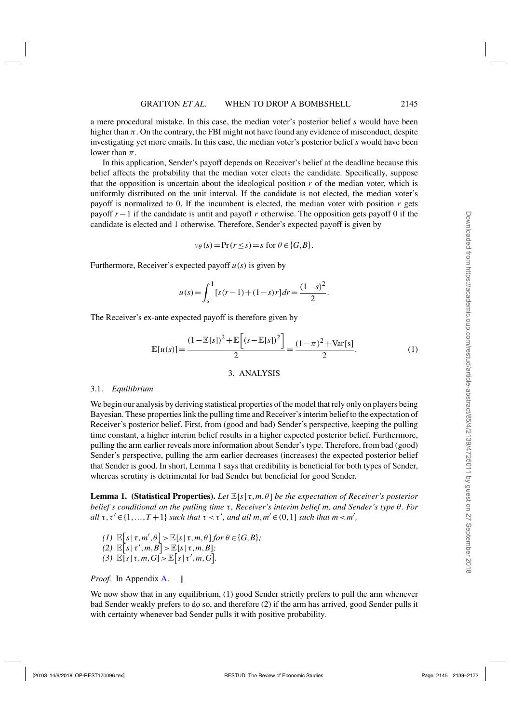<span id="page-6-0"></span>a mere procedural mistake. In this case, the median voter's posterior belief *s* would have been higher than  $\pi$ . On the contrary, the FBI might not have found any evidence of misconduct, despite investigating yet more emails. In this case, the median voter's posterior belief *s* would have been lower than  $\pi$ .

In this application, Sender's payoff depends on Receiver's belief at the deadline because this belief affects the probability that the median voter elects the candidate. Specifically, suppose that the opposition is uncertain about the ideological position  $r$  of the median voter, which is uniformly distributed on the unit interval. If the candidate is not elected, the median voter's payoff is normalized to 0. If the incumbent is elected, the median voter with position *r* gets payoff *r*−1 if the candidate is unfit and payoff *r* otherwise. The opposition gets payoff 0 if the candidate is elected and 1 otherwise. Therefore, Sender's expected payoff is given by

$$
v_{\theta}(s) = \Pr(r \le s) = s \text{ for } \theta \in \{G, B\}.
$$

Furthermore, Receiver's expected payoff *u*(*s*) is given by

$$
u(s) = \int_{s}^{1} [s(r-1) + (1-s)r] dr = \frac{(1-s)^{2}}{2}.
$$

The Receiver's ex-ante expected payoff is therefore given by

$$
\mathbb{E}[u(s)] = \frac{(1 - \mathbb{E}[s])^2 + \mathbb{E}\left[ (s - \mathbb{E}[s])^2 \right]}{2} = \frac{(1 - \pi)^2 + \text{Var}[s]}{2}.
$$
 (1)

# 3. ANALYSIS

### 3.1. *Equilibrium*

We begin our analysis by deriving statistical properties of the model that rely only on players being Bayesian. These properties link the pulling time and Receiver's interim belief to the expectation of Receiver's posterior belief. First, from (good and bad) Sender's perspective, keeping the pulling time constant, a higher interim belief results in a higher expected posterior belief. Furthermore, pulling the arm earlier reveals more information about Sender's type. Therefore, from bad (good) Sender's perspective, pulling the arm earlier decreases (increases) the expected posterior belief that Sender is good. In short, Lemma 1 says that credibility is beneficial for both types of Sender, whereas scrutiny is detrimental for bad Sender but beneficial for good Sender.

**Lemma 1. (Statistical Properties).** *Let* E[*s*| τ,*m*,θ] *be the expectation of Receiver's posterior belief s conditional on the pulling time* τ, Receiver's interim belief m, and Sender's type θ. For *all*  $\tau, \tau' \in \{1, ..., T+1\}$  *such that*  $\tau < \tau'$ *, and all*  $m, m' \in (0, 1]$  *such that*  $m < m'$ *,* 

- *(1)*  $\mathbb{E}[s | \tau, m', \theta] > \mathbb{E}[s | \tau, m, \theta]$  *for*  $\theta \in \{G, B\}$ *;*  $\mathbb{E}[s \mid \tau', m, B] > \mathbb{E}[s \mid \tau, m, B];$
- (3)  $\mathbb{E}[s | \tau, m, G] > \mathbb{E}[s | \tau', m, G].$

*Proof.* In Appendix [A.](#page-22-0) ||

We now show that in any equilibrium, (1) good Sender strictly prefers to pull the arm whenever bad Sender weakly prefers to do so, and therefore (2) if the arm has arrived, good Sender pulls it with certainty whenever bad Sender pulls it with positive probability.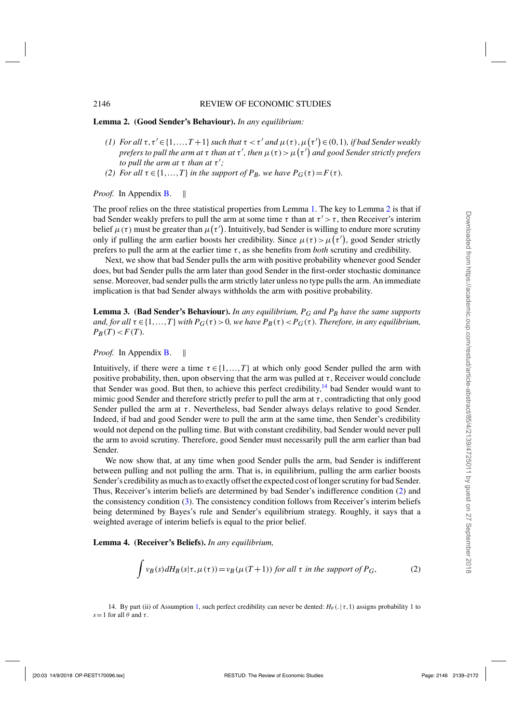#### <span id="page-7-0"></span>**Lemma 2. (Good Sender's Behaviour).** *In any equilibrium:*

- *(1)* For all  $\tau$ ,  $\tau' \in \{1, ..., T+1\}$  such that  $\tau < \tau'$  and  $\mu(\tau)$ ,  $\mu(\tau') \in (0,1)$ , if bad Sender weakly *prefers to pull the arm at τ than at τ' , then*  $\mu$  (τ )  $>\mu$  (τ') and good Sender strictly prefers *to pull the arm at*  $\tau$  *than at*  $\tau'$ *;*
- *(2) For all*  $\tau \in \{1, ..., T\}$  *in the support of P<sub>B</sub>, we have*  $P_G(\tau) = F(\tau)$ *.*

*Proof.* In Appendix **B**.  $\parallel$ 

The proof relies on the three statistical properties from Lemma [1.](#page-6-0) The key to Lemma  $2$  is that if bad Sender weakly prefers to pull the arm at some time  $\tau$  than at  $\tau' > \tau$ , then Receiver's interim belief  $\mu(\tau)$  must be greater than  $\mu(\tau')$ . Intuitively, bad Sender is willing to endure more scrutiny only if pulling the arm earlier boosts her credibility. Since  $\mu(\tau) > \mu(\tau')$ , good Sender strictly prefers to pull the arm at the earlier time  $\tau$ , as she benefits from *both* scrutiny and credibility.

Next, we show that bad Sender pulls the arm with positive probability whenever good Sender does, but bad Sender pulls the arm later than good Sender in the first-order stochastic dominance sense. Moreover, bad sender pulls the arm strictly later unless no type pulls the arm. An immediate implication is that bad Sender always withholds the arm with positive probability.

**Lemma 3. (Bad Sender's Behaviour).** *In any equilibrium, PG and PB have the same supports and, for all*  $\tau \in \{1, \ldots, T\}$  *with*  $P_G(\tau) > 0$ *, we have*  $P_B(\tau) < P_G(\tau)$ *. Therefore, in any equilibrium,*  $P_B(T) < F(T)$ .

*Proof.* In Appendix [B.](#page-24-0)

Intuitively, if there were a time  $\tau \in \{1, \ldots, T\}$  at which only good Sender pulled the arm with positive probability, then, upon observing that the arm was pulled at  $\tau$ , Receiver would conclude that Sender was good. But then, to achieve this perfect credibility, $14$  bad Sender would want to mimic good Sender and therefore strictly prefer to pull the arm at  $\tau$ , contradicting that only good Sender pulled the arm at  $\tau$ . Nevertheless, bad Sender always delays relative to good Sender. Indeed, if bad and good Sender were to pull the arm at the same time, then Sender's credibility would not depend on the pulling time. But with constant credibility, bad Sender would never pull the arm to avoid scrutiny. Therefore, good Sender must necessarily pull the arm earlier than bad Sender.

We now show that, at any time when good Sender pulls the arm, bad Sender is indifferent between pulling and not pulling the arm. That is, in equilibrium, pulling the arm earlier boosts Sender's credibility as much as to exactly offset the expected cost of longer scrutiny for bad Sender. Thus, Receiver's interim beliefs are determined by bad Sender's indifference condition (2) and the consistency condition [\(3\)](#page-8-0). The consistency condition follows from Receiver's interim beliefs being determined by Bayes's rule and Sender's equilibrium strategy. Roughly, it says that a weighted average of interim beliefs is equal to the prior belief.

**Lemma 4. (Receiver's Beliefs).** *In any equilibrium,*

$$
\int v_B(s) dH_B(s|\tau, \mu(\tau)) = v_B(\mu(T+1)) \text{ for all } \tau \text{ in the support of } P_G,
$$
\n(2)

14. By part (ii) of Assumption [1,](#page-5-0) such perfect credibility can never be dented:  $H_\theta(.\,|\tau,1)$  assigns probability 1 to  $s=1$  for all  $\theta$  and  $\tau$ .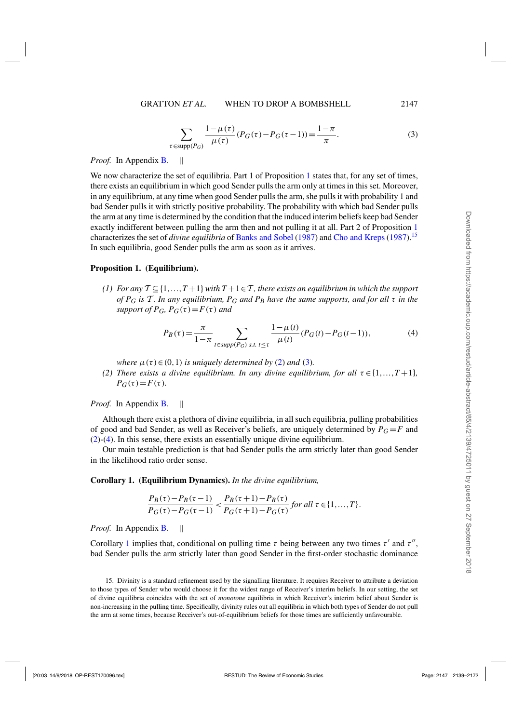$$
\sum_{\tau \in \text{supp}(P_G)} \frac{1 - \mu(\tau)}{\mu(\tau)} (P_G(\tau) - P_G(\tau - 1)) = \frac{1 - \pi}{\pi}.
$$
 (3)

<span id="page-8-0"></span>*Proof.* In Appendix **B**.

We now characterize the set of equilibria. Part 1 of Proposition 1 states that, for any set of times, there exists an equilibrium in which good Sender pulls the arm only at times in this set. Moreover, in any equilibrium, at any time when good Sender pulls the arm, she pulls it with probability 1 and bad Sender pulls it with strictly positive probability. The probability with which bad Sender pulls the arm at any time is determined by the condition that the induced interim beliefs keep bad Sender exactly indifferent between pulling the arm then and not pulling it at all. Part 2 of Proposition 1 characterizes the set of *divine equilibria* of [Banks and Sobel](#page-32-0) [\(1987](#page-32-0)) and [Cho and Kreps](#page-32-0) [\(1987\)](#page-32-0).15 In such equilibria, good Sender pulls the arm as soon as it arrives.

### **Proposition 1. (Equilibrium).**

*(1) For any*  $T \subseteq \{1, ..., T+1\}$  *with*  $T + 1 \in T$ *, there exists an equilibrium in which the support of PG is* T *. In any equilibrium, PG and PB have the same supports, and for all* τ *in the support of P<sub>G</sub>*,  $P_G(\tau) = F(\tau)$  *and* 

$$
P_B(\tau) = \frac{\pi}{1 - \pi} \sum_{t \in \text{supp}(P_G) \text{ s.t. } t \le \tau} \frac{1 - \mu(t)}{\mu(t)} (P_G(t) - P_G(t-1)),\tag{4}
$$

*where*  $\mu(\tau) \in (0,1)$  *is uniquely determined by* [\(2\)](#page-7-0) *and* (3)*.* 

*(2) There exists a divine equilibrium. In any divine equilibrium, for all*  $\tau \in \{1, ..., T+1\}$ *,*  $P_G(\tau) = F(\tau)$ *.* 

*Proof.* In Appendix **B**.  $\parallel$ 

Although there exist a plethora of divine equilibria, in all such equilibria, pulling probabilities of good and bad Sender, as well as Receiver's beliefs, are uniquely determined by  $P_G = F$  and [\(2\)](#page-7-0)-(4). In this sense, there exists an essentially unique divine equilibrium.

Our main testable prediction is that bad Sender pulls the arm strictly later than good Sender in the likelihood ratio order sense.

### **Corollary 1. (Equilibrium Dynamics).** *In the divine equilibrium,*

$$
\frac{P_B(\tau) - P_B(\tau - 1)}{P_G(\tau) - P_G(\tau - 1)} < \frac{P_B(\tau + 1) - P_B(\tau)}{P_G(\tau + 1) - P_G(\tau)} \text{ for all } \tau \in \{1, \dots, T\}.
$$

*Proof.* In Appendix [B.](#page-24-0)

Corollary 1 implies that, conditional on pulling time  $\tau$  being between any two times  $\tau'$  and  $\tau''$ , bad Sender pulls the arm strictly later than good Sender in the first-order stochastic dominance

<sup>15.</sup> Divinity is a standard refinement used by the signalling literature. It requires Receiver to attribute a deviation to those types of Sender who would choose it for the widest range of Receiver's interim beliefs. In our setting, the set of divine equilibria coincides with the set of *monotone* equilibria in which Receiver's interim belief about Sender is non-increasing in the pulling time. Specifically, divinity rules out all equilibria in which both types of Sender do not pull the arm at some times, because Receiver's out-of-equilibrium beliefs for those times are sufficiently unfavourable.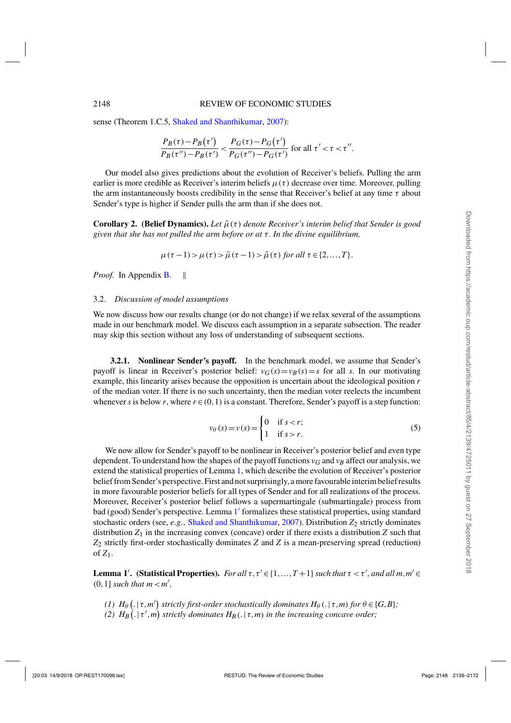<span id="page-9-0"></span>sense (Theorem 1.C.5, [Shaked and Shanthikumar,](#page-33-0) [2007\)](#page-33-0):

$$
\frac{P_B(\tau) - P_B(\tau')}{P_B(\tau'') - P_B(\tau')} < \frac{P_G(\tau) - P_G(\tau')}{P_G(\tau'') - P_G(\tau')} \text{ for all } \tau' < \tau < \tau''.
$$

Our model also gives predictions about the evolution of Receiver's beliefs. Pulling the arm earlier is more credible as Receiver's interim beliefs  $\mu(\tau)$  decrease over time. Moreover, pulling the arm instantaneously boosts credibility in the sense that Receiver's belief at any time  $\tau$  about Sender's type is higher if Sender pulls the arm than if she does not.

**Corollary 2. (Belief Dynamics).** *Let* μ˜ (τ ) *denote Receiver's interim belief that Sender is good given that she has not pulled the arm before or at* τ *. In the divine equilibrium,*

$$
\mu(\tau-1) > \mu(\tau) > \tilde{\mu}(\tau-1) > \tilde{\mu}(\tau) \text{ for all } \tau \in \{2,\ldots,T\}.
$$

*Proof.* In Appendix **B**.  $\parallel$ 

#### 3.2. *Discussion of model assumptions*

We now discuss how our results change (or do not change) if we relax several of the assumptions made in our benchmark model. We discuss each assumption in a separate subsection. The reader may skip this section without any loss of understanding of subsequent sections.

**3.2.1. Nonlinear Sender's payoff.** In the benchmark model, we assume that Sender's payoff is linear in Receiver's posterior belief:  $v_G(s) = v_B(s) = s$  for all *s*. In our motivating example, this linearity arises because the opposition is uncertain about the ideological position *r* of the median voter. If there is no such uncertainty, then the median voter reelects the incumbent whenever *s* is below *r*, where  $r \in (0,1)$  is a constant. Therefore, Sender's payoff is a step function:

$$
v_{\theta}(s) = v(s) = \begin{cases} 0 & \text{if } s < r; \\ 1 & \text{if } s > r. \end{cases}
$$
 (5)

We now allow for Sender's payoff to be nonlinear in Receiver's posterior belief and even type dependent. To understand how the shapes of the payoff functions  $v_G$  and  $v_B$  affect our analysis, we extend the statistical properties of Lemma [1,](#page-6-0) which describe the evolution of Receiver's posterior belief from Sender's perspective. First and not surprisingly, a more favourable interim belief results in more favourable posterior beliefs for all types of Sender and for all realizations of the process. Moreover, Receiver's posterior belief follows a supermartingale (submartingale) process from bad (good) Sender's perspective. Lemma [1](#page-6-0)' formalizes these statistical properties, using standard stochastic orders (see, *e*.*g*., [Shaked and Shanthikumar,](#page-33-0) [2007](#page-33-0)). Distribution *Z*2 strictly dominates distribution  $Z_1$  in the increasing convex (concave) order if there exists a distribution  $Z$  such that *Z*2 strictly first-order stochastically dominates *Z* and *Z* is a mean-preserving spread (reduction) of *Z*1.

**Lemma 1'.** (Statistical Properties). *For all*  $\tau$ ,  $\tau' \in \{1, ..., T+1\}$  *such that*  $\tau < \tau'$ , *and all*  $m, m' \in$  $(0,1]$  *such that*  $m < m'$ ,

*(1)*  $H_{\theta}(.|\tau,m')$  strictly first-order stochastically dominates  $H_{\theta}(.|\tau,m)$  for  $\theta \in \{G,B\}$ ; (2)  $H_B(.|\tau',m)$  strictly dominates  $H_B(.|\tau,m)$  in the increasing concave order;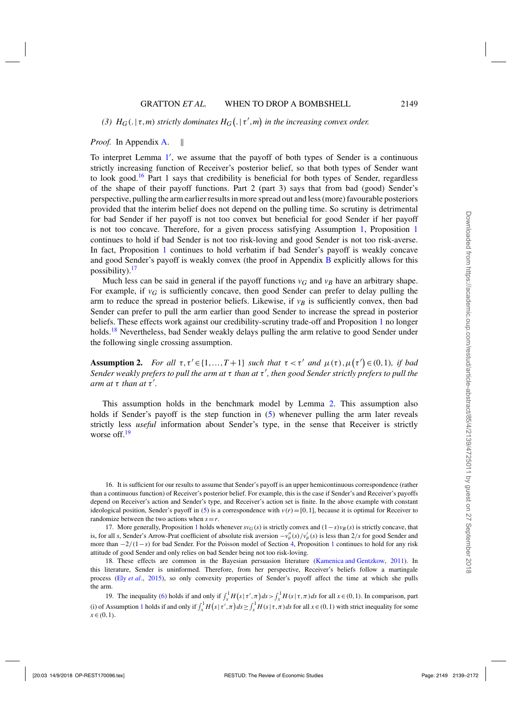# <span id="page-10-0"></span>*(3)*  $H_G(. | \tau, m)$  *strictly dominates*  $H_G(. | \tau', m)$  *in the increasing convex order.*

# *Proof.* In Appendix [A.](#page-22-0) ||

To interpret Lemma [1](#page-6-0) , we assume that the payoff of both types of Sender is a continuous strictly increasing function of Receiver's posterior belief, so that both types of Sender want to look good.<sup>16</sup> Part 1 says that credibility is beneficial for both types of Sender, regardless of the shape of their payoff functions. Part 2 (part 3) says that from bad (good) Sender's perspective, pulling the arm earlier results in more spread out and less (more) favourable posteriors provided that the interim belief does not depend on the pulling time. So scrutiny is detrimental for bad Sender if her payoff is not too convex but beneficial for good Sender if her payoff is not too concave. Therefore, for a given process satisfying Assumption [1,](#page-5-0) Proposition [1](#page-8-0) continues to hold if bad Sender is not too risk-loving and good Sender is not too risk-averse. In fact, Proposition [1](#page-8-0) continues to hold verbatim if bad Sender's payoff is weakly concave and good Sender's payoff is weakly convex (the proof in Appendix [B](#page-24-0) explicitly allows for this possibility).<sup>17</sup>

Much less can be said in general if the payoff functions  $v_G$  and  $v_B$  have an arbitrary shape. For example, if  $v_G$  is sufficiently concave, then good Sender can prefer to delay pulling the arm to reduce the spread in posterior beliefs. Likewise, if  $v_B$  is sufficiently convex, then bad Sender can prefer to pull the arm earlier than good Sender to increase the spread in posterior beliefs. These effects work against our credibility-scrutiny trade-off and Proposition [1](#page-8-0) no longer holds.<sup>18</sup> Nevertheless, bad Sender weakly delays pulling the arm relative to good Sender under the following single crossing assumption.

**Assumption 2.** For all  $\tau, \tau' \in \{1, ..., T+1\}$  such that  $\tau < \tau'$  and  $\mu(\tau), \mu(\tau') \in (0,1)$ , if bad *Sender weakly prefers to pull the arm at* τ *than at* τ *, then good Sender strictly prefers to pull the*  $arm$  at  $\tau$  *than at*  $\tau'$ .

This assumption holds in the benchmark model by Lemma [2.](#page-6-0) This assumption also holds if Sender's payoff is the step function in [\(5\)](#page-9-0) whenever pulling the arm later reveals strictly less *useful* information about Sender's type, in the sense that Receiver is strictly worse off.<sup>19</sup>

16. It is sufficient for our results to assume that Sender's payoff is an upper hemicontinuous correspondence (rather than a continuous function) of Receiver's posterior belief. For example, this is the case if Sender's and Receiver's payoffs depend on Receiver's action and Sender's type, and Receiver's action set is finite. In the above example with constant ideological position, Sender's payoff in [\(5\)](#page-9-0) is a correspondence with  $v(r) = [0,1]$ , because it is optimal for Receiver to randomize between the two actions when  $s = r$ .

[1](#page-8-0)7. More generally, Proposition 1 holds whenever  $sv_G(s)$  is strictly convex and  $(1-s)v_B(s)$  is strictly concave, that is, for all *s*, Sender's Arrow-Prat coefficient of absolute risk aversion  $-v''_\theta(s)/v'_\theta(s)$  is less than 2/*s* for good Sender and more than  $-2/(1-s)$  $-2/(1-s)$  $-2/(1-s)$  for bad Sender. For the Poisson model of Section [4,](#page-12-0) Proposition 1 continues to hold for any risk attitude of good Sender and only relies on bad Sender being not too risk-loving.

18. These effects are common in the Bayesian persuasion literature [\(Kamenica and Gentzkow](#page-32-0), [2011\)](#page-32-0). In this literature, Sender is uninformed. Therefore, from her perspective, Receiver's beliefs follow a martingale process (Ely *[et al](#page-32-0)*., [2015\)](#page-32-0), so only convexity properties of Sender's payoff affect the time at which she pulls the arm.

19. The inequality [\(6\)](#page-11-0) holds if and only if  $\int_x^1 H(s|\tau',\pi)ds > \int_x^1 H(s|\tau,\pi)ds$  for all  $x \in (0,1)$ . In comparison, part (i) of Assumption [1](#page-5-0) holds if and only if  $\int_x^1 H(s|\tau,\pi)ds \ge \int_x^1 H(s|\tau,\pi)ds$  for all  $x \in (0,1)$  with strict inequality for some *x*∈(0,1).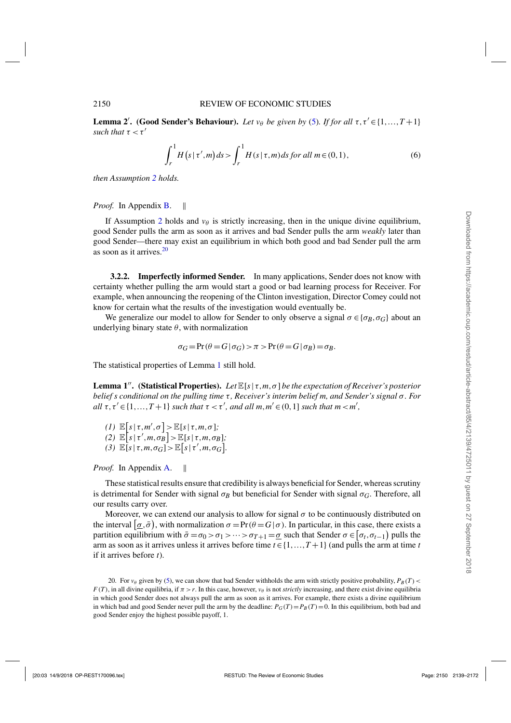<span id="page-11-0"></span>**Lemma 2'.** (Good Sender's Behaviour). *Let v* $\theta$  *be given by* [\(5\)](#page-9-0)*. If for all*  $\tau$ ,  $\tau' \in \{1, ..., T + 1\}$ *such that*  $\tau < \tau'$ 

$$
\int_{r}^{1} H\left(s \mid \tau', m\right) ds > \int_{r}^{1} H\left(s \mid \tau, m\right) ds \text{ for all } m \in (0, 1),\tag{6}
$$

*then Assumption [2](#page-10-0) holds.*

*Proof.* In Appendix **B**.  $\parallel$ 

If Assumption [2](#page-10-0) holds and  $v_{\theta}$  is strictly increasing, then in the unique divine equilibrium, good Sender pulls the arm as soon as it arrives and bad Sender pulls the arm *weakly* later than good Sender—there may exist an equilibrium in which both good and bad Sender pull the arm as soon as it arrives. $20$ 

**3.2.2. Imperfectly informed Sender.** In many applications, Sender does not know with certainty whether pulling the arm would start a good or bad learning process for Receiver. For example, when announcing the reopening of the Clinton investigation, Director Comey could not know for certain what the results of the investigation would eventually be.

We generalize our model to allow for Sender to only observe a signal  $\sigma \in {\{\sigma_B, \sigma_G\}}$  about an underlying binary state  $\theta$ , with normalization

$$
\sigma_G = \Pr(\theta = G \mid \sigma_G) > \pi > \Pr(\theta = G \mid \sigma_B) = \sigma_B.
$$

The statistical properties of Lemma [1](#page-6-0) still hold.

**Lemma 1<sup>***n***</sup>. (Statistical Properties).** *Let*  $\mathbb{E}[s \mid \tau, m, \sigma]$  *be the expectation of Receiver's posterior belief s conditional on the pulling time* τ, *Receiver's interim belief m, and Sender's signal* σ. For *all*  $\tau$ ,  $\tau' \in \{1, ..., T+1\}$  *such that*  $\tau < \tau'$ *, and all*  $m, m' \in (0,1]$  *such that*  $m < m'$ *,* 

 $(I) \mathbb{E}[s | \tau, m', \sigma] > \mathbb{E}[s | \tau, m, \sigma];$  $\mathbb{E}\left[s\left|\tau',m,\sigma_{B}\right]\right\}$   $\geq \mathbb{E}\left[s\left|\tau,m,\sigma_{B}\right]\right;$ (3)  $\mathbb{E}[s \mid \tau, m, \sigma_G] > \mathbb{E}[s \mid \tau', m, \sigma_G].$ 

*Proof.* In Appendix [A.](#page-22-0)

These statistical results ensure that credibility is always beneficial for Sender, whereas scrutiny is detrimental for Sender with signal  $\sigma_B$  but beneficial for Sender with signal  $\sigma_G$ . Therefore, all our results carry over.

Moreover, we can extend our analysis to allow for signal  $\sigma$  to be continuously distributed on the interval  $\left[\sigma,\bar{\sigma}\right)$ , with normalization  $\sigma = \Pr(\theta = G | \sigma)$ . In particular, in this case, there exists a partition equilibrium with  $\bar{\sigma} = \sigma_0 > \sigma_1 > \cdots > \sigma_{T+1} = \underline{\sigma}$  such that Sender  $\sigma \in [\sigma_t, \sigma_{t-1})$  pulls the arm as soon as it arrives unless it arrives before time  $t \in \{1, \ldots, T+1\}$  (and pulls the arm at time *t* if it arrives before *t*).

20. For  $v_{\theta}$  given by [\(5\)](#page-9-0), we can show that bad Sender withholds the arm with strictly positive probability,  $P_B(T)$  $F(T)$ , in all divine equilibria, if  $\pi > r$ . In this case, however,  $v_{\theta}$  is not *strictly* increasing, and there exist divine equilibria in which good Sender does not always pull the arm as soon as it arrives. For example, there exists a divine equilibrium in which bad and good Sender never pull the arm by the deadline:  $P_G(T) = P_B(T) = 0$ . In this equilibrium, both bad and good Sender enjoy the highest possible payoff, 1.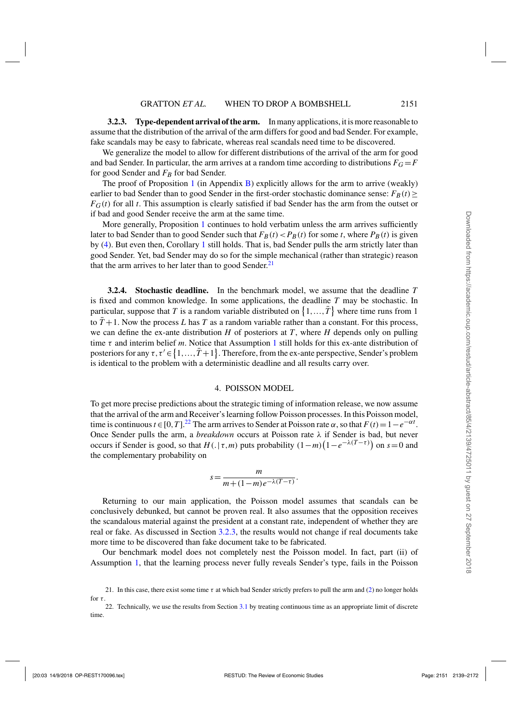<span id="page-12-0"></span>**3.2.3. Type-dependent arrival of the arm.** In many applications, it is more reasonable to assume that the distribution of the arrival of the arm differs for good and bad Sender. For example, fake scandals may be easy to fabricate, whereas real scandals need time to be discovered.

We generalize the model to allow for different distributions of the arrival of the arm for good and bad Sender. In particular, the arm arrives at a random time according to distributions  $F<sub>G</sub> = F$ for good Sender and  $F_B$  for bad Sender.

The proof of Proposition [1](#page-8-0) (in Appendix  $B$ ) explicitly allows for the arm to arrive (weakly) earlier to bad Sender than to good Sender in the first-order stochastic dominance sense:  $F_B(t) \geq$  $F_G(t)$  for all *t*. This assumption is clearly satisfied if bad Sender has the arm from the outset or if bad and good Sender receive the arm at the same time.

More generally, Proposition [1](#page-8-0) continues to hold verbatim unless the arm arrives sufficiently later to bad Sender than to good Sender such that  $F_B(t) < P_B(t)$  for some *t*, where  $P_B(t)$  is given by [\(4\)](#page-8-0). But even then, Corollary [1](#page-8-0) still holds. That is, bad Sender pulls the arm strictly later than good Sender. Yet, bad Sender may do so for the simple mechanical (rather than strategic) reason that the arm arrives to her later than to good Sender. $21$ 

**3.2.4. Stochastic deadline.** In the benchmark model, we assume that the deadline *T* is fixed and common knowledge. In some applications, the deadline *T* may be stochastic. In particular, suppose that *T* is a random variable distributed on  $\{1, ..., \overline{T}\}$  where time runs from 1 to  $\bar{T}$  +1. Now the process *L* has *T* as a random variable rather than a constant. For this process, we can define the ex-ante distribution *H* of posteriors at *T*, where *H* depends only on pulling time τ and interim belief *m*. Notice that Assumption [1](#page-5-0) still holds for this ex-ante distribution of posteriors for any  $\tau, \tau' \in \{1, ..., \bar{T} + 1\}$ . Therefore, from the ex-ante perspective, Sender's problem is identical to the problem with a deterministic deadline and all results carry over.

#### 4. POISSON MODEL

To get more precise predictions about the strategic timing of information release, we now assume that the arrival of the arm and Receiver's learning follow Poisson processes. In this Poisson model, time is continuous  $t \in [0, T]$ .<sup>22</sup> The arm arrives to Sender at Poisson rate  $\alpha$ , so that  $F(t) = 1 - e^{-\alpha t}$ . Once Sender pulls the arm, a *breakdown* occurs at Poisson rate λ if Sender is bad, but never occurs if Sender is good, so that  $H(. | \tau, m)$  puts probability  $(1-m)(1-e^{-\lambda(T-\tau)})$  on  $s=0$  and the complementary probability on

$$
s = \frac{m}{m + (1 - m)e^{-\lambda(T - \tau)}}.
$$

Returning to our main application, the Poisson model assumes that scandals can be conclusively debunked, but cannot be proven real. It also assumes that the opposition receives the scandalous material against the president at a constant rate, independent of whether they are real or fake. As discussed in Section 3.2.3, the results would not change if real documents take more time to be discovered than fake document take to be fabricated.

Our benchmark model does not completely nest the Poisson model. In fact, part (ii) of Assumption [1,](#page-5-0) that the learning process never fully reveals Sender's type, fails in the Poisson

<sup>21.</sup> In this case, there exist some time  $\tau$  at which bad Sender strictly prefers to pull the arm and [\(2\)](#page-7-0) no longer holds for  $\tau$ .

<sup>22.</sup> Technically, we use the results from Section [3.1](#page-6-0) by treating continuous time as an appropriate limit of discrete time.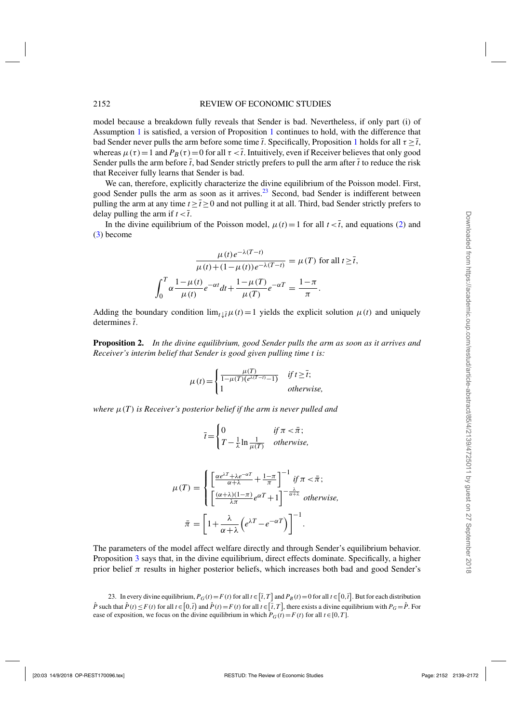<span id="page-13-0"></span>model because a breakdown fully reveals that Sender is bad. Nevertheless, if only part (i) of Assumption [1](#page-5-0) is satisfied, a version of Proposition [1](#page-8-0) continues to hold, with the difference that bad Sender never pulls the arm before some time  $\bar{t}$ . Specifically, Proposition [1](#page-8-0) holds for all  $\tau > \bar{t}$ , whereas  $\mu(\tau) = 1$  and  $P_B(\tau) = 0$  for all  $\tau < \overline{t}$ . Intuitively, even if Receiver believes that only good Sender pulls the arm before  $\bar{t}$ , bad Sender strictly prefers to pull the arm after  $\bar{t}$  to reduce the risk that Receiver fully learns that Sender is bad.

We can, therefore, explicitly characterize the divine equilibrium of the Poisson model. First, good Sender pulls the arm as soon as it arrives.<sup>23</sup> Second, bad Sender is indifferent between pulling the arm at any time  $t \ge \bar{t} \ge 0$  and not pulling it at all. Third, bad Sender strictly prefers to delay pulling the arm if  $t < \overline{t}$ .

In the divine equilibrium of the Poisson model,  $\mu(t) = 1$  for all  $t < \overline{t}$ , and equations [\(2\)](#page-7-0) and [\(3\)](#page-8-0) become

$$
\frac{\mu(t)e^{-\lambda(T-t)}}{\mu(t)+(1-\mu(t))e^{-\lambda(T-t)}} = \mu(T) \text{ for all } t \ge \overline{t},
$$

$$
\int_0^T \alpha \frac{1-\mu(t)}{\mu(t)} e^{-\alpha t} dt + \frac{1-\mu(T)}{\mu(T)} e^{-\alpha T} = \frac{1-\pi}{\pi}.
$$

Adding the boundary condition  $\lim_{t\downarrow\bar{t}}\mu(t)=1$  yields the explicit solution  $\mu(t)$  and uniquely determines  $\bar{t}$ .

**Proposition 2.** *In the divine equilibrium, good Sender pulls the arm as soon as it arrives and Receiver's interim belief that Sender is good given pulling time t is:*

$$
\mu(t) = \begin{cases} \frac{\mu(T)}{1 - \mu(T)(e^{\lambda(T-t)} - 1)} & \text{if } t \geq \overline{t}; \\ 1 & \text{otherwise,} \end{cases}
$$

*where* μ(*T*) *is Receiver's posterior belief if the arm is never pulled and*

$$
\bar{t} = \begin{cases} 0 & \text{if } \pi < \bar{\pi} \\ T - \frac{1}{\lambda} \ln \frac{1}{\mu(T)} & \text{otherwise,} \end{cases}
$$

$$
\mu(T) = \begin{cases} \left[ \frac{\alpha e^{\lambda T} + \lambda e^{-\alpha T}}{\alpha + \lambda} + \frac{1 - \pi}{\pi} \right]^{-1} & \text{if } \pi < \bar{\pi} \, ; \\ \left[ \frac{(\alpha + \lambda)(1 - \pi)}{\lambda \pi} e^{\alpha T} + 1 \right]^{-\frac{\lambda}{\alpha + \lambda}} & \text{otherwise,} \end{cases}
$$

$$
\bar{\pi} = \left[ 1 + \frac{\lambda}{\alpha + \lambda} \left( e^{\lambda T} - e^{-\alpha T} \right) \right]^{-1}.
$$

The parameters of the model affect welfare directly and through Sender's equilibrium behavior. Proposition [3](#page-14-0) says that, in the divine equilibrium, direct effects dominate. Specifically, a higher prior belief  $\pi$  results in higher posterior beliefs, which increases both bad and good Sender's

23. In every divine equilibrium,  $P_G(t) = F(t)$  for all  $t \in [T, T]$  and  $P_B(t) = 0$  for all  $t \in [0, T]$ . But for each distribution  $\hat{P}$  such that  $\hat{P}(t) \leq F(t)$  for all  $t \in [0,\bar{t})$  and  $\hat{P}(t) = F(t)$  for all  $t \in [\bar{t},T]$ , there exists a divine equilibrium with  $P_G = \hat{P}$ . For ease of exposition, we focus on the divine equilibrium in which  $P_G(t) = F(t)$  for all  $t \in [0, T]$ .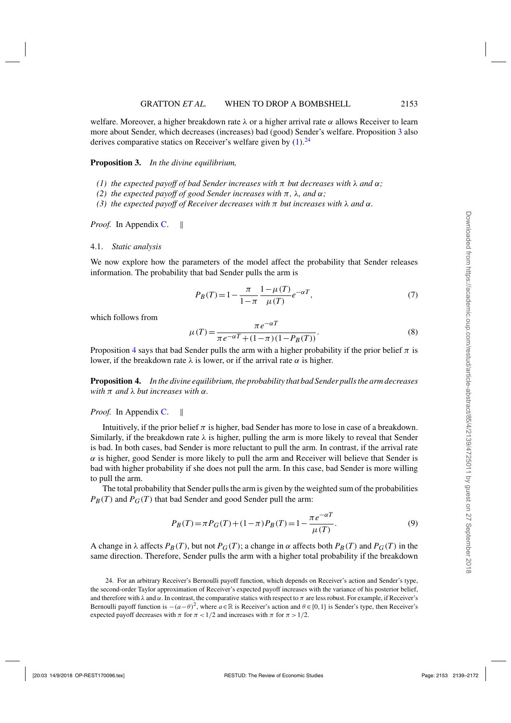<span id="page-14-0"></span>welfare. Moreover, a higher breakdown rate  $\lambda$  or a higher arrival rate  $\alpha$  allows Receiver to learn more about Sender, which decreases (increases) bad (good) Sender's welfare. Proposition 3 also derives comparative statics on Receiver's welfare given by  $(1)$ .<sup>24</sup>

#### **Proposition 3.** *In the divine equilibrium,*

- *(1) the expected payoff of bad Sender increases with* π *but decreases with* λ *and* α*;*
- *(2) the expected payoff of good Sender increases with* π*,* λ*, and* α*;*
- *(3) the expected payoff of Receiver decreases with*  $\pi$  *but increases with*  $\lambda$  *and*  $\alpha$ *.*

*Proof.* In Appendix [C.](#page-27-0) ||

#### 4.1. *Static analysis*

We now explore how the parameters of the model affect the probability that Sender releases information. The probability that bad Sender pulls the arm is

$$
P_B(T) = 1 - \frac{\pi}{1 - \pi} \frac{1 - \mu(T)}{\mu(T)} e^{-\alpha T},
$$
\n(7)

which follows from

$$
\mu(T) = \frac{\pi e^{-\alpha T}}{\pi e^{-\alpha T} + (1 - \pi)(1 - P_B(T))}.
$$
\n(8)

Proposition 4 says that bad Sender pulls the arm with a higher probability if the prior belief  $\pi$  is lower, if the breakdown rate  $λ$  is lower, or if the arrival rate  $α$  is higher.

**Proposition 4.** *In the divine equilibrium, the probability that bad Sender pulls the arm decreases with* π *and* λ *but increases with* α*.*

# *Proof.* In Appendix [C.](#page-27-0) ||

Intuitively, if the prior belief  $\pi$  is higher, bad Sender has more to lose in case of a breakdown. Similarly, if the breakdown rate  $\lambda$  is higher, pulling the arm is more likely to reveal that Sender is bad. In both cases, bad Sender is more reluctant to pull the arm. In contrast, if the arrival rate  $\alpha$  is higher, good Sender is more likely to pull the arm and Receiver will believe that Sender is bad with higher probability if she does not pull the arm. In this case, bad Sender is more willing to pull the arm.

The total probability that Sender pulls the arm is given by the weighted sum of the probabilities  $P_B(T)$  and  $P_G(T)$  that bad Sender and good Sender pull the arm:

$$
P_B(T) = \pi P_G(T) + (1 - \pi) P_B(T) = 1 - \frac{\pi e^{-\alpha T}}{\mu(T)}.
$$
\n(9)

A change in  $\lambda$  affects  $P_B(T)$ , but not  $P_G(T)$ ; a change in  $\alpha$  affects both  $P_B(T)$  and  $P_G(T)$  in the same direction. Therefore, Sender pulls the arm with a higher total probability if the breakdown

<sup>24.</sup> For an arbitrary Receiver's Bernoulli payoff function, which depends on Receiver's action and Sender's type, the second-order Taylor approximation of Receiver's expected payoff increases with the variance of his posterior belief, and therefore with  $\lambda$  and  $\alpha$ . In contrast, the comparative statics with respect to  $\pi$  are less robust. For example, if Receiver's Bernoulli payoff function is  $-(a-\theta)^2$ , where  $a \in \mathbb{R}$  is Receiver's action and  $\theta \in \{0,1\}$  is Sender's type, then Receiver's expected payoff decreases with  $\pi$  for  $\pi$  < 1/2 and increases with  $\pi$  for  $\pi$  > 1/2.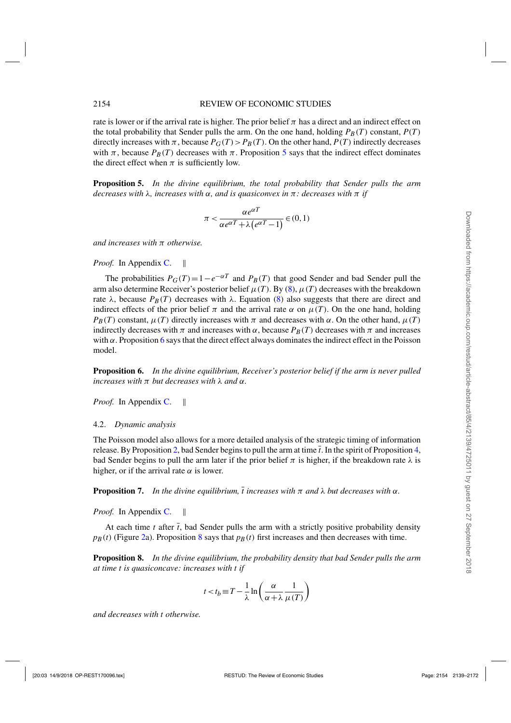<span id="page-15-0"></span>rate is lower or if the arrival rate is higher. The prior belief  $\pi$  has a direct and an indirect effect on the total probability that Sender pulls the arm. On the one hand, holding  $P_B(T)$  constant,  $P(T)$ directly increases with  $\pi$ , because  $P_G(T) > P_B(T)$ . On the other hand,  $P(T)$  indirectly decreases with  $\pi$ , because  $P_B(T)$  decreases with  $\pi$ . Proposition 5 says that the indirect effect dominates the direct effect when  $\pi$  is sufficiently low.

**Proposition 5.** *In the divine equilibrium, the total probability that Sender pulls the arm decreases with* λ*, increases with* α*, and is quasiconvex in* π*: decreases with* π *if*

$$
\pi < \frac{\alpha e^{\alpha T}}{\alpha e^{\alpha T} + \lambda \left( e^{\alpha T} - 1 \right)} \in (0, 1)
$$

*and increases with* π *otherwise.*

*Proof.* In Appendix [C.](#page-27-0)

The probabilities  $P_G(T) = 1 - e^{-\alpha T}$  and  $P_B(T)$  that good Sender and bad Sender pull the arm also determine Receiver's posterior belief  $\mu(T)$ . By [\(8\)](#page-14-0),  $\mu(T)$  decreases with the breakdown rate  $\lambda$ , because  $P_B(T)$  decreases with  $\lambda$ . Equation [\(8\)](#page-14-0) also suggests that there are direct and indirect effects of the prior belief  $\pi$  and the arrival rate  $\alpha$  on  $\mu(T)$ . On the one hand, holding  $P_B(T)$  constant,  $\mu(T)$  directly increases with  $\pi$  and decreases with  $\alpha$ . On the other hand,  $\mu(T)$ indirectly decreases with  $\pi$  and increases with  $\alpha$ , because  $P_B(T)$  decreases with  $\pi$  and increases with  $\alpha$ . Proposition 6 says that the direct effect always dominates the indirect effect in the Poisson model.

**Proposition 6.** *In the divine equilibrium, Receiver's posterior belief if the arm is never pulled increases with* π *but decreases with* λ *and* α*.*

*Proof.* In Appendix [C.](#page-27-0) ||

#### 4.2. *Dynamic analysis*

The Poisson model also allows for a more detailed analysis of the strategic timing of information release. By Proposition [2,](#page-13-0) bad Sender begins to pull the arm at time  $\bar{t}$ . In the spirit of Proposition [4,](#page-14-0) bad Sender begins to pull the arm later if the prior belief  $\pi$  is higher, if the breakdown rate  $\lambda$  is higher, or if the arrival rate  $\alpha$  is lower.

**Proposition 7.** In the divine equilibrium,  $\overline{t}$  increases with  $\pi$  and  $\lambda$  but decreases with  $\alpha$ .

*Proof.* In Appendix [C.](#page-27-0) ||

At each time  $t$  after  $\bar{t}$ , bad Sender pulls the arm with a strictly positive probability density  $p_B(t)$  (Figure [2a](#page-16-0)). Proposition 8 says that  $p_B(t)$  first increases and then decreases with time.

**Proposition 8.** *In the divine equilibrium, the probability density that bad Sender pulls the arm at time t is quasiconcave: increases with t if*

$$
t < t_b \equiv T - \frac{1}{\lambda} \ln \left( \frac{\alpha}{\alpha + \lambda} \frac{1}{\mu(T)} \right)
$$

*and decreases with t otherwise.*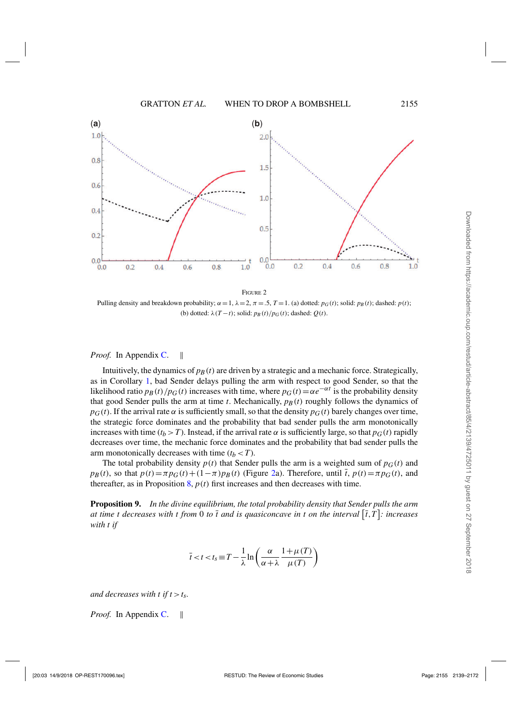<span id="page-16-0"></span>

**FIGURE 2** Pulling density and breakdown probability;  $\alpha = 1$ ,  $\lambda = 2$ ,  $\pi = .5$ ,  $T = 1$ . (a) dotted:  $p_G(t)$ ; solid:  $p_B(t)$ ; dashed:  $p(t)$ ; (b) dotted:  $\lambda(T-t)$ ; solid:  $p_B(t)/p_G(t)$ ; dashed:  $Q(t)$ .

#### *Proof.* In Appendix [C.](#page-27-0) ||

Intuitively, the dynamics of  $p_B(t)$  are driven by a strategic and a mechanic force. Strategically, as in Corollary [1,](#page-8-0) bad Sender delays pulling the arm with respect to good Sender, so that the likelihood ratio  $p_B(t)/p_G(t)$  increases with time, where  $p_G(t) = \alpha e^{-\alpha t}$  is the probability density that good Sender pulls the arm at time  $t$ . Mechanically,  $p_B(t)$  roughly follows the dynamics of  $p_G(t)$ . If the arrival rate  $\alpha$  is sufficiently small, so that the density  $p_G(t)$  barely changes over time, the strategic force dominates and the probability that bad sender pulls the arm monotonically increases with time ( $t_b$  > *T*). Instead, if the arrival rate  $\alpha$  is sufficiently large, so that  $p_G(t)$  rapidly decreases over time, the mechanic force dominates and the probability that bad sender pulls the arm monotonically decreases with time  $(t_b < T)$ .

The total probability density  $p(t)$  that Sender pulls the arm is a weighted sum of  $p<sub>G</sub>(t)$  and  $p_B(t)$ , so that  $p(t) = \pi p_G(t) + (1 - \pi)p_B(t)$  (Figure 2a). Therefore, until  $\bar{t}$ ,  $p(t) = \pi p_G(t)$ , and thereafter, as in Proposition  $\mathbf{8}, p(t)$  first increases and then decreases with time.

**Proposition 9.** *In the divine equilibrium, the total probability density that Sender pulls the arm at time t decreases with t from* 0 *to*  $\overline{t}$  and is quasiconcave in t on the interval  $[\overline{t},T]$ : increases *with t if*

$$
\bar{t} < t < t_{\rm S} \equiv T - \frac{1}{\lambda} \ln \left( \frac{\alpha}{\alpha + \lambda} \frac{1 + \mu(T)}{\mu(T)} \right)
$$

*and decreases with t if t*  $> t_s$ .

*Proof.* In Appendix [C.](#page-27-0) ||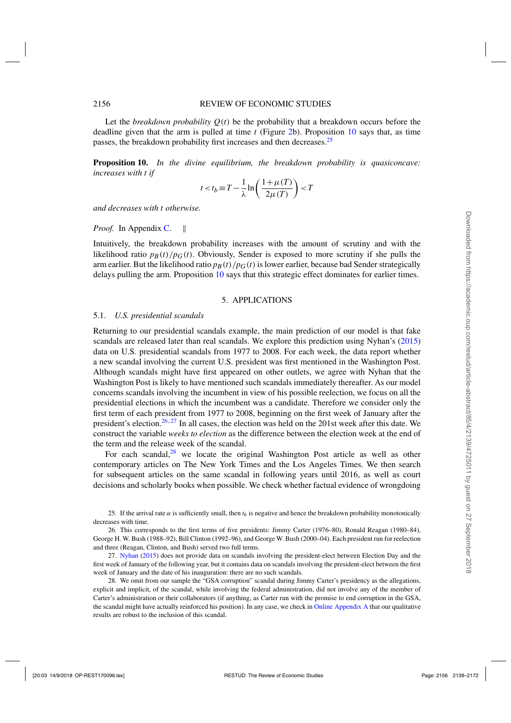<span id="page-17-0"></span>Let the *breakdown probability*  $Q(t)$  be the probability that a breakdown occurs before the deadline given that the arm is pulled at time *t* (Figure [2b](#page-16-0)). Proposition 10 says that, as time passes, the breakdown probability first increases and then decreases.<sup>25</sup>

**Proposition 10.** *In the divine equilibrium, the breakdown probability is quasiconcave: increases with t if*

$$
t < t_b \equiv T - \frac{1}{\lambda} \ln \left( \frac{1 + \mu(T)}{2\mu(T)} \right) < T
$$

*and decreases with t otherwise.*

*Proof.* In Appendix [C.](#page-27-0) ||

Intuitively, the breakdown probability increases with the amount of scrutiny and with the likelihood ratio  $p_B(t)/p_G(t)$ . Obviously, Sender is exposed to more scrutiny if she pulls the arm earlier. But the likelihood ratio  $p_B(t)/p_G(t)$  is lower earlier, because bad Sender strategically delays pulling the arm. Proposition 10 says that this strategic effect dominates for earlier times.

#### 5. APPLICATIONS

#### 5.1. *U.S. presidential scandals*

Returning to our presidential scandals example, the main prediction of our model is that fake scandals are released later than real scandals. We explore this prediction using Nyhan's [\(2015\)](#page-32-0) data on U.S. presidential scandals from 1977 to 2008. For each week, the data report whether a new scandal involving the current U.S. president was first mentioned in the Washington Post. Although scandals might have first appeared on other outlets, we agree with Nyhan that the Washington Post is likely to have mentioned such scandals immediately thereafter. As our model concerns scandals involving the incumbent in view of his possible reelection, we focus on all the presidential elections in which the incumbent was a candidate. Therefore we consider only the first term of each president from 1977 to 2008, beginning on the first week of January after the president's election.<sup>26,27</sup> In all cases, the election was held on the 201st week after this date. We construct the variable *weeks to election* as the difference between the election week at the end of the term and the release week of the scandal.

For each scandal, $28$  we locate the original Washington Post article as well as other contemporary articles on The New York Times and the Los Angeles Times. We then search for subsequent articles on the same scandal in following years until 2016, as well as court decisions and scholarly books when possible. We check whether factual evidence of wrongdoing

25. If the arrival rate  $\alpha$  is sufficiently small, then  $t_b$  is negative and hence the breakdown probability monotonically decreases with time.

26. This corresponds to the first terms of five presidents: Jimmy Carter (1976–80), Ronald Reagan (1980–84), George H. W. Bush (1988–92), Bill Clinton (1992–96), and George W. Bush (2000–04). Each president run for reelection and three (Reagan, Clinton, and Bush) served two full terms.

27. [Nyhan](#page-32-0) [\(2015](#page-32-0)) does not provide data on scandals involving the president-elect between Election Day and the first week of January of the following year, but it contains data on scandals involving the president-elect between the first week of January and the date of his inauguration: there are no such scandals.

28. We omit from our sample the "GSA corruption" scandal during Jimmy Carter's presidency as the allegations, explicit and implicit, of the scandal, while involving the federal administration, did not involve any of the member of Carter's administration or their collaborators (if anything, as Carter run with the promise to end corruption in the GSA, the scandal might have actually reinforced his position). In any case, we check in [Online Appendix A](https://academic.oup.com/restud/article-lookup/doi/10.1093/restud/rdx070#supplementary-data) that our qualitative results are robust to the inclusion of this scandal.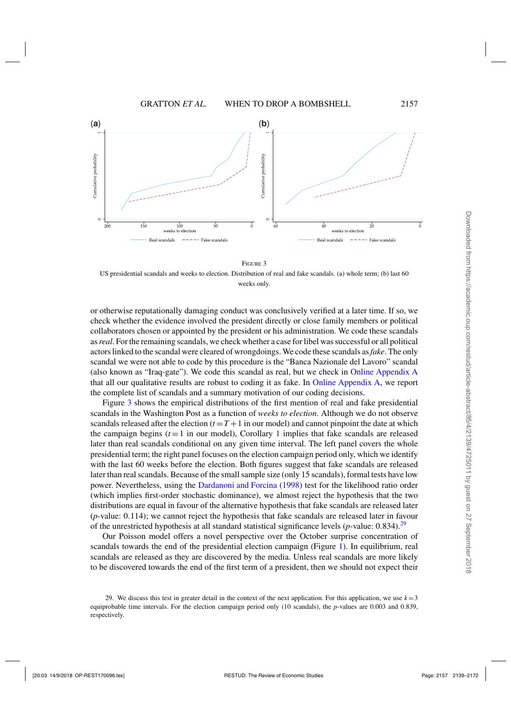

FIGURE 3

US presidential scandals and weeks to election. Distribution of real and fake scandals. (a) whole term; (b) last 60 weeks only.

or otherwise reputationally damaging conduct was conclusively verified at a later time. If so, we check whether the evidence involved the president directly or close family members or political collaborators chosen or appointed by the president or his administration. We code these scandals as*real*. For the remaining scandals, we check whether a case for libel was successful or all political actors linked to the scandal were cleared of wrongdoings. We code these scandals as*fake*. The only scandal we were not able to code by this procedure is the "Banca Nazionale del Lavoro" scandal (also known as "Iraq-gate"). We code this scandal as real, but we check in [Online Appendix A](https://academic.oup.com/restud/article-lookup/doi/10.1093/restud/rdx070#supplementary-data) that all our qualitative results are robust to coding it as fake. In [Online Appendix A,](https://academic.oup.com/restud/article-lookup/doi/10.1093/restud/rdx070#supplementary-data) we report the complete list of scandals and a summary motivation of our coding decisions.

Figure 3 shows the empirical distributions of the first mention of real and fake presidential scandals in the Washington Post as a function of *weeks to election*. Although we do not observe scandals released after the election  $(t = T + 1$  in our model) and cannot pinpoint the date at which the campaign begins  $(t=1$  $(t=1$  in our model), Corollary 1 implies that fake scandals are released later than real scandals conditional on any given time interval. The left panel covers the whole presidential term; the right panel focuses on the election campaign period only, which we identify with the last 60 weeks before the election. Both figures suggest that fake scandals are released later than real scandals. Because of the small sample size (only 15 scandals), formal tests have low power. Nevertheless, using the [Dardanoni and Forcina](#page-32-0) [\(1998\)](#page-32-0) test for the likelihood ratio order (which implies first-order stochastic dominance), we almost reject the hypothesis that the two distributions are equal in favour of the alternative hypothesis that fake scandals are released later (*p*-value: 0.114); we cannot reject the hypothesis that fake scandals are released later in favour of the unrestricted hypothesis at all standard statistical significance levels  $(p$ -value: 0.834).<sup>29</sup>

Our Poisson model offers a novel perspective over the October surprise concentration of scandals towards the end of the presidential election campaign (Figure [1\)](#page-2-0). In equilibrium, real scandals are released as they are discovered by the media. Unless real scandals are more likely to be discovered towards the end of the first term of a president, then we should not expect their

<sup>29.</sup> We discuss this test in greater detail in the context of the next application. For this application, we use  $k=3$ equiprobable time intervals. For the election campaign period only (10 scandals), the *p*-values are 0.003 and 0.839, respectively.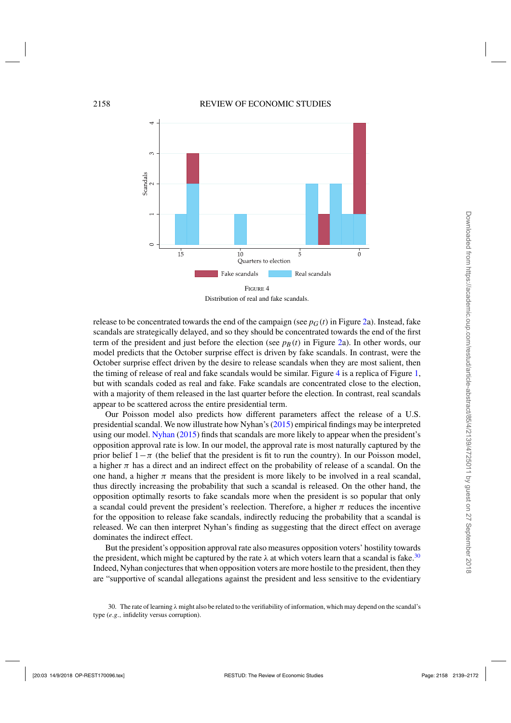

Distribution of real and fake scandals.

release to be concentrated towards the end of the campaign (see  $p_G(t)$  in Figure [2a](#page-16-0)). Instead, fake scandals are strategically delayed, and so they should be concentrated towards the end of the first term of the president and just before the election (see  $p_B(t)$  in Figure [2a](#page-16-0)). In other words, our model predicts that the October surprise effect is driven by fake scandals. In contrast, were the October surprise effect driven by the desire to release scandals when they are most salient, then the timing of release of real and fake scandals would be similar. Figure 4 is a replica of Figure [1,](#page-2-0) but with scandals coded as real and fake. Fake scandals are concentrated close to the election, with a majority of them released in the last quarter before the election. In contrast, real scandals appear to be scattered across the entire presidential term.

Our Poisson model also predicts how different parameters affect the release of a U.S. presidential scandal. We now illustrate how Nyhan's [\(2015](#page-32-0)) empirical findings may be interpreted using our model. [Nyhan](#page-32-0) [\(2015](#page-32-0)) finds that scandals are more likely to appear when the president's opposition approval rate is low. In our model, the approval rate is most naturally captured by the prior belief  $1-\pi$  (the belief that the president is fit to run the country). In our Poisson model, a higher  $\pi$  has a direct and an indirect effect on the probability of release of a scandal. On the one hand, a higher  $\pi$  means that the president is more likely to be involved in a real scandal, thus directly increasing the probability that such a scandal is released. On the other hand, the opposition optimally resorts to fake scandals more when the president is so popular that only a scandal could prevent the president's reelection. Therefore, a higher  $\pi$  reduces the incentive for the opposition to release fake scandals, indirectly reducing the probability that a scandal is released. We can then interpret Nyhan's finding as suggesting that the direct effect on average dominates the indirect effect.

But the president's opposition approval rate also measures opposition voters' hostility towards the president, which might be captured by the rate  $\lambda$  at which voters learn that a scandal is fake.<sup>30</sup> Indeed, Nyhan conjectures that when opposition voters are more hostile to the president, then they are "supportive of scandal allegations against the president and less sensitive to the evidentiary

<sup>30.</sup> The rate of learning  $\lambda$  might also be related to the verifiability of information, which may depend on the scandal's type (*e*.*g*., infidelity versus corruption).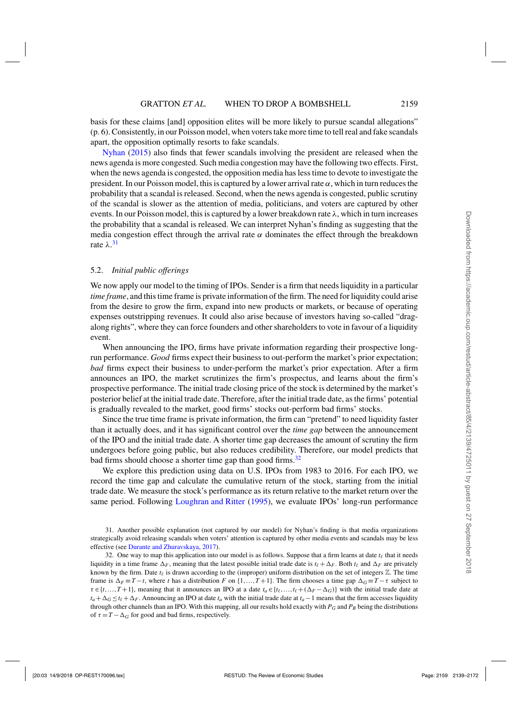basis for these claims [and] opposition elites will be more likely to pursue scandal allegations" (p. 6). Consistently, in our Poisson model, when voters take more time to tell real and fake scandals apart, the opposition optimally resorts to fake scandals.

[Nyhan](#page-32-0) [\(2015\)](#page-32-0) also finds that fewer scandals involving the president are released when the news agenda is more congested. Such media congestion may have the following two effects. First, when the news agenda is congested, the opposition media has less time to devote to investigate the president. In our Poisson model, this is captured by a lower arrival rate  $\alpha$ , which in turn reduces the probability that a scandal is released. Second, when the news agenda is congested, public scrutiny of the scandal is slower as the attention of media, politicians, and voters are captured by other events. In our Poisson model, this is captured by a lower breakdown rate  $\lambda$ , which in turn increases the probability that a scandal is released. We can interpret Nyhan's finding as suggesting that the media congestion effect through the arrival rate  $\alpha$  dominates the effect through the breakdown rate  $\lambda$ .<sup>31</sup>

# 5.2. *Initial public offerings*

We now apply our model to the timing of IPOs. Sender is a firm that needs liquidity in a particular *time frame*, and this time frame is private information of the firm. The need for liquidity could arise from the desire to grow the firm, expand into new products or markets, or because of operating expenses outstripping revenues. It could also arise because of investors having so-called "dragalong rights", where they can force founders and other shareholders to vote in favour of a liquidity event.

When announcing the IPO, firms have private information regarding their prospective longrun performance. *Good* firms expect their business to out-perform the market's prior expectation; *bad* firms expect their business to under-perform the market's prior expectation. After a firm announces an IPO, the market scrutinizes the firm's prospectus, and learns about the firm's prospective performance. The initial trade closing price of the stock is determined by the market's posterior belief at the initial trade date. Therefore, after the initial trade date, as the firms' potential is gradually revealed to the market, good firms' stocks out-perform bad firms' stocks.

Since the true time frame is private information, the firm can "pretend" to need liquidity faster than it actually does, and it has significant control over the *time gap* between the announcement of the IPO and the initial trade date. A shorter time gap decreases the amount of scrutiny the firm undergoes before going public, but also reduces credibility. Therefore, our model predicts that bad firms should choose a shorter time gap than good firms.<sup>32</sup>

We explore this prediction using data on U.S. IPOs from 1983 to 2016. For each IPO, we record the time gap and calculate the cumulative return of the stock, starting from the initial trade date. We measure the stock's performance as its return relative to the market return over the same period. Following [Loughran and Ritter](#page-32-0) [\(1995](#page-32-0)), we evaluate IPOs' long-run performance

<sup>31.</sup> Another possible explanation (not captured by our model) for Nyhan's finding is that media organizations strategically avoid releasing scandals when voters' attention is captured by other media events and scandals may be less effective (see [Durante and Zhuravskaya,](#page-32-0) [2017\)](#page-32-0).

<sup>32.</sup> One way to map this application into our model is as follows. Suppose that a firm learns at date  $t_\ell$  that it needs liquidity in a time frame  $\Delta_F$ , meaning that the latest possible initial trade date is  $t_\ell + \Delta_F$ . Both  $t_\ell$  and  $\Delta_F$  are privately known by the firm. Date  $t_{\ell}$  is drawn according to the (improper) uniform distribution on the set of integers  $\mathbb{Z}$ . The time frame is  $\Delta_F \equiv T - t$ , where *t* has a distribution *F* on {1,..., *T* + 1}. The firm chooses a time gap  $\Delta_G \equiv T - \tau$  subject to  $\tau \in \{t, ..., T+1\}$ , meaning that it announces an IPO at a date  $t_a \in \{t_\ell, ..., t_\ell + (\Delta_F - \Delta_G)\}\$  with the initial trade date at  $t_a + \Delta_G \le t_f + \Delta_F$ . Announcing an IPO at date  $t_a$  with the initial trade date at  $t_a - 1$  means that the firm accesses liquidity through other channels than an IPO. With this mapping, all our results hold exactly with  $P_G$  and  $P_B$  being the distributions of  $\tau = T - \Delta_G$  for good and bad firms, respectively.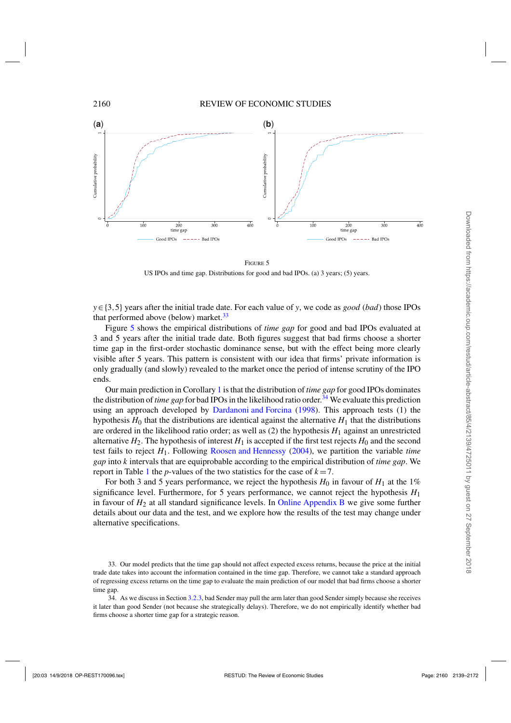

FIGURE 5 US IPOs and time gap. Distributions for good and bad IPOs. (a) 3 years; (5) years.

*y*∈{3,5} years after the initial trade date. For each value of *y*, we code as *good* (*bad*) those IPOs that performed above (below) market. $33$ 

Figure 5 shows the empirical distributions of *time gap* for good and bad IPOs evaluated at 3 and 5 years after the initial trade date. Both figures suggest that bad firms choose a shorter time gap in the first-order stochastic dominance sense, but with the effect being more clearly visible after 5 years. This pattern is consistent with our idea that firms' private information is only gradually (and slowly) revealed to the market once the period of intense scrutiny of the IPO ends.

Our main prediction in Corollary [1](#page-8-0) is that the distribution of *time gap* for good IPOs dominates the distribution of *time gap* for bad IPOs in the likelihood ratio order.<sup>34</sup> We evaluate this prediction using an approach developed by [Dardanoni and Forcina](#page-32-0) [\(1998](#page-32-0)). This approach tests (1) the hypothesis  $H_0$  that the distributions are identical against the alternative  $H_1$  that the distributions are ordered in the likelihood ratio order; as well as  $(2)$  the hypothesis  $H_1$  against an unrestricted alternative  $H_2$ . The hypothesis of interest  $H_1$  is accepted if the first test rejects  $H_0$  and the second test fails to reject *H*1. Following [Roosen and Hennessy](#page-32-0) [\(2004](#page-32-0)), we partition the variable *time gap* into *k* intervals that are equiprobable according to the empirical distribution of *time gap*. We report in Table [1](#page-22-0) the *p*-values of the two statistics for the case of  $k = 7$ .

For both 3 and 5 years performance, we reject the hypothesis  $H_0$  in favour of  $H_1$  at the 1% significance level. Furthermore, for 5 years performance, we cannot reject the hypothesis  $H_1$ in favour of  $H_2$  at all standard significance levels. In [Online Appendix B](https://academic.oup.com/restud/article-lookup/doi/10.1093/restud/rdx070#supplementary-data) we give some further details about our data and the test, and we explore how the results of the test may change under alternative specifications.

<sup>33.</sup> Our model predicts that the time gap should not affect expected excess returns, because the price at the initial trade date takes into account the information contained in the time gap. Therefore, we cannot take a standard approach of regressing excess returns on the time gap to evaluate the main prediction of our model that bad firms choose a shorter time gap.

<sup>34.</sup> As we discuss in Section [3.2.3,](#page-12-0) bad Sender may pull the arm later than good Sender simply because she receives it later than good Sender (not because she strategically delays). Therefore, we do not empirically identify whether bad firms choose a shorter time gap for a strategic reason.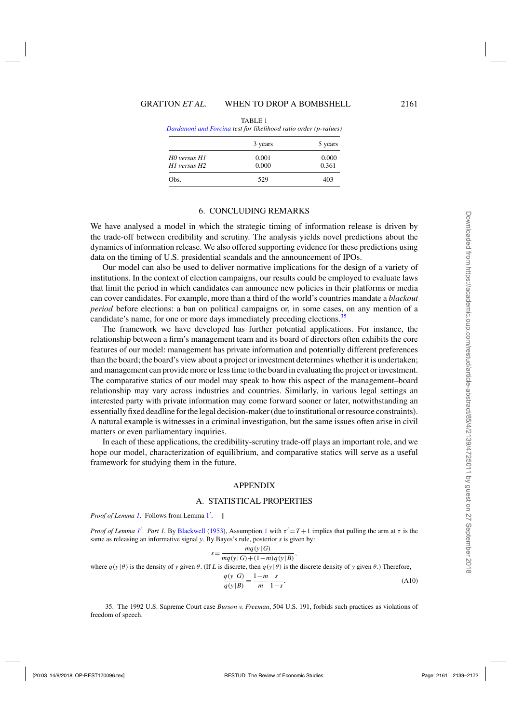<span id="page-22-0"></span>

| эанаанот ана готста <i>ием јог икеинооа наио онаег (p-va</i> uaes) |         |         |
|--------------------------------------------------------------------|---------|---------|
|                                                                    | 3 years | 5 years |
| H0 versus H1                                                       | 0.001   | 0.000   |
| H1 versus H2                                                       | 0.000   | 0.361   |
| Obs.                                                               | 529     | 403     |
|                                                                    |         |         |

TABLE 1 *[Dardanoni and Forcina](#page-32-0) test for likelihood ratio order (p-values)*

# 6. CONCLUDING REMARKS

We have analysed a model in which the strategic timing of information release is driven by the trade-off between credibility and scrutiny. The analysis yields novel predictions about the dynamics of information release. We also offered supporting evidence for these predictions using data on the timing of U.S. presidential scandals and the announcement of IPOs.

Our model can also be used to deliver normative implications for the design of a variety of institutions. In the context of election campaigns, our results could be employed to evaluate laws that limit the period in which candidates can announce new policies in their platforms or media can cover candidates. For example, more than a third of the world's countries mandate a *blackout period* before elections: a ban on political campaigns or, in some cases, on any mention of a candidate's name, for one or more days immediately preceding elections.<sup>35</sup>

The framework we have developed has further potential applications. For instance, the relationship between a firm's management team and its board of directors often exhibits the core features of our model: management has private information and potentially different preferences than the board; the board's view about a project or investment determines whether it is undertaken; and management can provide more or less time to the board in evaluating the project or investment. The comparative statics of our model may speak to how this aspect of the management–board relationship may vary across industries and countries. Similarly, in various legal settings an interested party with private information may come forward sooner or later, notwithstanding an essentially fixed deadline for the legal decision-maker (due to institutional or resource constraints). A natural example is witnesses in a criminal investigation, but the same issues often arise in civil matters or even parliamentary inquiries.

In each of these applications, the credibility-scrutiny trade-off plays an important role, and we hope our model, characterization of equilibrium, and comparative statics will serve as a useful framework for studying them in the future.

#### APPENDIX

# A. STATISTICAL PROPERTIES

Proof of Lemma [1](#page-6-0). Follows from Lemma 1'. ||

*Proof of Lemma [1](#page-5-0)'*. *Part 1*. By [Blackwell](#page-32-0) [\(1953](#page-32-0)), Assumption 1 with  $\tau' = T + 1$  implies that pulling the arm at  $\tau$  is the same as releasing an informative signal *y*. By Bayes's rule, posterior *s* is given by:

$$
s = \frac{mq(y|G)}{mq(y|G) + (1-m)q(y|B)},
$$

where  $q(y|\theta)$  is the density of *y* given  $\theta$ . (If *L* is discrete, then  $q(y|\theta)$  is the discrete density of *y* given  $\theta$ .) Therefore,

$$
\frac{q(y|G)}{q(y|B)} = \frac{1-m}{m} \frac{s}{1-s}.
$$
\n(A10)

35. The 1992 U.S. Supreme Court case *Burson v. Freeman*, 504 U.S. 191, forbids such practices as violations of freedom of speech.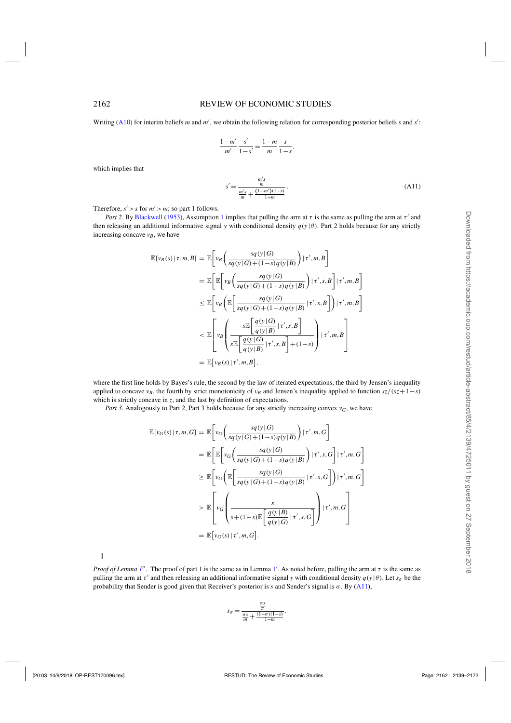<span id="page-23-0"></span>Writing [\(A10\)](#page-22-0) for interim beliefs *m* and *m'*, we obtain the following relation for corresponding posterior beliefs *s* and *s'*:

$$
\frac{1-m'}{m'}\frac{s'}{1-s'}=\frac{1-m}{m}\frac{s}{1-s},
$$

which implies that

$$
s' = \frac{\frac{m's}{m}}{\frac{m's}{m} + \frac{(1-m')(1-s)}{1-m}}.
$$
\n(A11)

Therefore,  $s' > s$  for  $m' > m$ ; so part 1 follows.

*Part 2.* By [Blackwell](#page-32-0) [\(1953](#page-32-0)), Assumption [1](#page-5-0) implies that pulling the arm at  $\tau$  is the same as pulling the arm at  $\tau'$  and then releasing an additional informative signal *y* with conditional density  $q(y|\theta)$ . Part 2 holds because for any strictly increasing concave  $v_B$ , we have

$$
\mathbb{E}[v_B(s) | \tau, m, B] = \mathbb{E}\bigg[v_B\bigg(\frac{sq(y|G)}{sq(y|G) + (1-s)q(y|B)}\bigg) | \tau', m, B\bigg]
$$
  
\n
$$
= \mathbb{E}\bigg[\mathbb{E}\bigg[v_B\bigg(\frac{sq(y|G)}{sq(y|G) + (1-s)q(y|B)}\bigg) | \tau', s, B\bigg] | \tau', m, B\bigg]
$$
  
\n
$$
\leq \mathbb{E}\bigg[v_B\bigg(\mathbb{E}\bigg[\frac{sq(y|G)}{sq(y|G) + (1-s)q(y|B)} | \tau', s, B\bigg] \bigg) | \tau', m, B\bigg]
$$
  
\n
$$
< \mathbb{E}\left[v_B\bigg(\frac{s\mathbb{E}\bigg[\frac{q(y|G)}{q(y|B)} | \tau', s, B\bigg]}{s\mathbb{E}\bigg[\frac{q(y|G)}{q(y|B)} | \tau', s, B\bigg] + (1-s)\bigg) | \tau', m, B\bigg]}
$$
  
\n
$$
= \mathbb{E}[v_B(s) | \tau', m, B],
$$

where the first line holds by Bayes's rule, the second by the law of iterated expectations, the third by Jensen's inequality applied to concave *v<sub>B</sub>*, the fourth by strict monotonicity of *v<sub>B</sub>* and Jensen's inequality applied to function  $sz/(sz+1-s)$ which is strictly concave in *z*, and the last by definition of expectations.

*Part 3.* Analogously to Part 2, Part 3 holds because for any strictly increasing convex  $v_G$ , we have

$$
\mathbb{E}[v_G(s) | \tau, m, G] = \mathbb{E}\bigg[v_G\bigg(\frac{sq(y|G)}{sq(y|G) + (1-s)q(y|B)}\bigg) | \tau', m, G\bigg]
$$
  
\n
$$
= \mathbb{E}\bigg[\mathbb{E}\bigg[v_G\bigg(\frac{sq(y|G)}{sq(y|G) + (1-s)q(y|B)}\bigg) | \tau', s, G\bigg] | \tau', m, G\bigg]
$$
  
\n
$$
\geq \mathbb{E}\bigg[v_G\bigg(\mathbb{E}\bigg[\frac{sq(y|G)}{sq(y|G) + (1-s)q(y|B)} | \tau', s, G\bigg] \bigg) | \tau', m, G\bigg]
$$
  
\n
$$
> \mathbb{E}\bigg[v_G\bigg(\frac{s}{s + (1-s)\mathbb{E}\bigg[\frac{q(y|B)}{q(y|G)} | \tau', s, G\bigg]\bigg) | \tau', m, G\bigg]
$$
  
\n
$$
= \mathbb{E}[v_G(s) | \tau', m, G].
$$

 $\parallel$ 

*Proof of Lemma [1](#page-6-0)"*. The proof of part 1 is the same as in Lemma 1'. As noted before, pulling the arm at  $\tau$  is the same as pulling the arm at  $\tau'$  and then releasing an additional informative signal *y* with conditional density  $q(y|\theta)$ . Let  $s_\sigma$  be the probability that Sender is good given that Receiver's posterior is *s* and Sender's signal is  $\sigma$ . By (A11),

$$
s_{\sigma} = \frac{\frac{\sigma s}{\pi}}{\frac{\sigma s}{m} + \frac{(1-\sigma)(1-s)}{1-m}}.
$$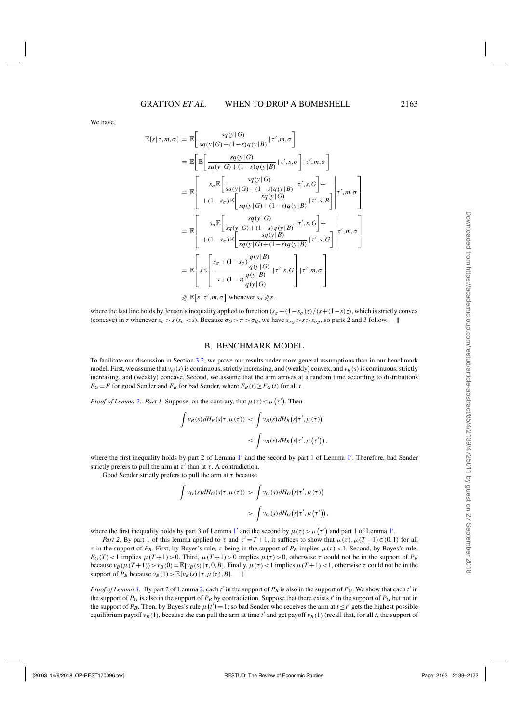<span id="page-24-0"></span>We have,

$$
\mathbb{E}[s | \tau, m, \sigma] = \mathbb{E} \Bigg[ \frac{sq(\mathbf{y} | G)}{sq(\mathbf{y} | G) + (1 - s)q(\mathbf{y} | B)} | \tau', m, \sigma \Bigg]
$$
\n
$$
= \mathbb{E} \Bigg[ \mathbb{E} \Bigg[ \frac{sq(\mathbf{y} | G)}{sq(\mathbf{y} | G) + (1 - s)q(\mathbf{y} | B)} | \tau', s, \sigma \Bigg] | \tau', m, \sigma \Bigg]
$$
\n
$$
= \mathbb{E} \Bigg[ \frac{s_{\sigma} \mathbb{E} \Bigg[ \frac{sq(\mathbf{y} | G)}{sq(\mathbf{y} | G) + (1 - s)q(\mathbf{y} | B)} | \tau', s, G \Bigg] + (1 - s_{\sigma}) \mathbb{E} \Bigg[ \frac{sq(\mathbf{y} | G)}{sq(\mathbf{y} | G) + (1 - s)q(\mathbf{y} | B)} | \tau', s, B \Bigg] \Bigg| \tau', m, \sigma \Bigg]
$$
\n
$$
= \mathbb{E} \Bigg[ \frac{s_{\sigma} \mathbb{E} \Bigg[ \frac{sq(\mathbf{y} | G)}{sq(\mathbf{y} | G) + (1 - s)q(\mathbf{y} | B)} | \tau', s, G \Bigg] + (1 - s_{\sigma}) \mathbb{E} \Bigg[ \frac{sq(\mathbf{y} | G)}{sq(\mathbf{y} | G) + (1 - s)q(\mathbf{y} | B)} | \tau', s, G \Bigg] \Bigg| \tau', m, \sigma \Bigg]
$$
\n
$$
= \mathbb{E} \Bigg[ s \mathbb{E} \Bigg[ \frac{s_{\sigma} + (1 - s_{\sigma}) \frac{q(\mathbf{y} | B)}{q(\mathbf{y} | G)} | \tau', s, G \Bigg] | \tau', m, \sigma \Bigg]
$$
\n
$$
= \mathbb{E} \Bigg[ s \mathbb{E} \Bigg[ \frac{s_{\sigma} + (1 - s_{\sigma}) \frac{q(\mathbf{y} | B)}{q(\mathbf{y} | G)} | \tau', s, G \Bigg] | \tau', m, \sigma \Bigg]
$$

 $\geq \mathbb{E}[s \mid \tau', m, \sigma]$  whenever  $s_{\sigma} \geq s$ ,

where the last line holds by Jensen's inequality applied to function  $(s_{\sigma} + (1 - s_{\sigma})z)/(s + (1 - s)z)$ , which is strictly convex (concave) in *z* whenever  $s_{\sigma} > s$  ( $s_{\sigma} < s$ ). Because  $\sigma_G > \pi > \sigma_B$ , we have  $s_{\sigma_G} > s > s_{\sigma_B}$ , so parts 2 and 3 follow.

#### B. BENCHMARK MODEL

To facilitate our discussion in Section [3.2,](#page-9-0) we prove our results under more general assumptions than in our benchmark model. First, we assume that  $v_G(s)$  is continuous, strictly increasing, and (weakly) convex, and  $v_B(s)$  is continuous, strictly increasing, and (weakly) concave. Second, we assume that the arm arrives at a random time according to distributions  $F_G = F$  for good Sender and  $F_B$  for bad Sender, where  $F_B(t) \ge F_G(t)$  for all *t*.

*Proof of Lemma [2](#page-6-0). Part 1.* Suppose, on the contrary, that  $\mu(\tau) \leq \mu(\tau')$ . Then

$$
\int v_B(s) dH_B(s|\tau, \mu(\tau)) < \int v_B(s) dH_B(s|\tau', \mu(\tau))
$$
  

$$
\leq \int v_B(s) dH_B(s|\tau', \mu(\tau')),
$$

where the first inequality holds by part 2 of Lemma [1](#page-6-0)' and the second by part 1 of Lemma 1'. Therefore, bad Sender strictly prefers to pull the arm at  $\tau'$  than at  $\tau$ . A contradiction.

Good Sender strictly prefers to pull the arm at  $\tau$  because

$$
\int v_G(s) dH_G(s|\tau, \mu(\tau)) > \int v_G(s) dH_G(s|\tau', \mu(\tau))
$$
  
> 
$$
\int v_G(s) dH_G(s|\tau', \mu(\tau')),
$$

where the first inequality holds by part 3 of Lemma [1](#page-6-0)' and the second by  $\mu(\tau) > \mu(\tau')$  and part 1 of Lemma 1'.

*Part 2.* By part 1 of this lemma applied to  $\tau$  and  $\tau' = T + 1$ , it suffices to show that  $\mu(\tau), \mu(T + 1) \in (0, 1)$  for all τ in the support of *P<sub>B</sub>*. First, by Bayes's rule, τ being in the support of *P<sub>B</sub>* implies  $\mu(\tau) < 1$ . Second, by Bayes's rule,  $F_G(T)$  < 1 implies  $\mu(T+1)$  > 0. Third,  $\mu(T+1)$  > 0 implies  $\mu(\tau)$  > 0, otherwise  $\tau$  could not be in the support of *P<sub>B</sub>* because  $v_B(\mu(T+1)) > v_B(0) = \mathbb{E}[v_B(s) | \tau, 0, B]$ . Finally,  $\mu(\tau) < 1$  implies  $\mu(T+1) < 1$ , otherwise τ could not be in the support of  $P_B$  because  $v_B(1)$   $\geq$   $\mathbb{E}[v_B(s) | \tau, \mu(\tau), B]$ .

*Proof of Lemma [3](#page-7-0)*. By part 2 of Lemma [2,](#page-6-0) each *t*<sup>*'*</sup> in the support of *P<sub>B</sub>* is also in the support of *P<sub>G</sub>*. We show that each *t'* in the support of  $P_G$  is also in the support of  $P_B$  by contradiction. Suppose that there exists  $t'$  in the support of  $P_G$  but not in the support of *P<sub>B</sub>*. Then, by Bayes's rule  $\mu(t') = 1$ ; so bad Sender who receives the arm at  $t \le t'$  gets the highest possible equilibrium payoff  $v_B(1)$ , because she can pull the arm at time  $t'$  and get payoff  $v_B(1)$  (recall that, for all *t*, the support of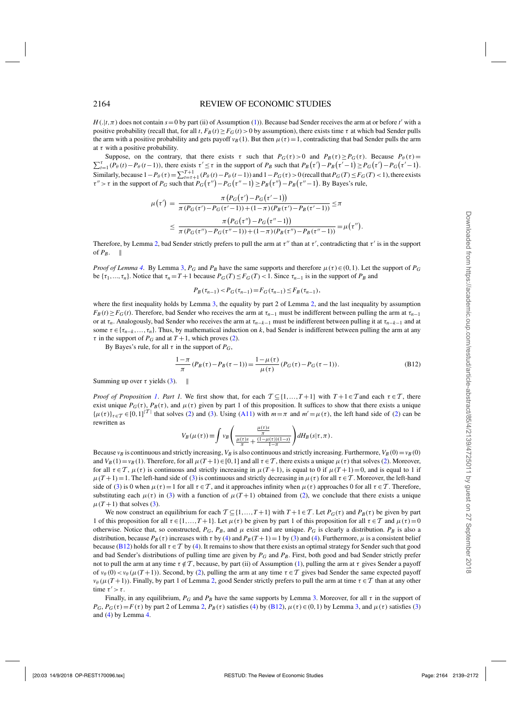$H(.|t,\pi)$  does not contain  $s = 0$  by part (ii) of Assumption [\(1\)](#page-5-0)). Because bad Sender receives the arm at or before *t'* with a positive probability (recall that, for all *t*,  $F_B(t) \ge F_G(t) > 0$  by assumption), there exists time  $\tau$  at which bad Sender pulls the arm with a positive probability and gets payoff  $v_B(1)$ . But then  $\mu(\tau) = 1$ , contradicting that bad Sender pulls the arm at  $\tau$  with a positive probability.

 $\sum_{t=1}^{\tau} (P_{\theta}(t) - P_{\theta}(t-1))$ , there exists  $\tau' \leq \tau$  in the support of  $P_B$  such that  $P_B(\tau') - P_B(\tau'-1) \geq P_G(\tau') - P_G(\tau'-1)$ . Suppose, on the contrary, that there exists  $\tau$  such that  $P_G(\tau) > 0$  and  $P_B(\tau) \ge P_G(\tau)$ . Because  $P_{\theta}(\tau) =$ Similarly, because  $1 - P_\theta(\tau) = \sum_{t=\tau+1}^{T+1} (P_\theta(t) - P_\theta(t-1))$  and  $1 - P_G(\tau) > 0$  (recall that  $P_G(T) \le F_G(T) < 1$ ), there exists  $\tau'' > \tau$  in the support of  $P_G$  such that  $P_G(\tau'') - P_G(\tau''-1) \ge P_B(\tau'') - P_B(\tau''-1)$ . By Bayes's rule,

$$
\mu(\tau') = \frac{\pi (P_G(\tau') - P_G(\tau'-1))}{\pi (P_G(\tau') - P_G(\tau'-1)) + (1-\pi) (P_B(\tau') - P_B(\tau'-1))} \leq \pi
$$
  

$$
\leq \frac{\pi (P_G(\tau'') - P_G(\tau''-1))}{\pi (P_G(\tau'') - P_G(\tau''-1)) + (1-\pi) (P_B(\tau'') - P_B(\tau''-1))} = \mu(\tau'').
$$

Therefore, by Lemma [2,](#page-6-0) bad Sender strictly prefers to pull the arm at  $\tau'$  than at  $\tau'$ , contradicting that  $\tau'$  is in the support of  $P_B$ .  $\parallel$ 

*Proof of Lemma* [4](#page-7-0). By Lemma [3,](#page-7-0)  $P_G$  and  $P_B$  have the same supports and therefore  $\mu(\tau) \in (0,1)$ . Let the support of  $P_G$ be  $\{\tau_1, \ldots, \tau_n\}$ . Notice that  $\tau_n = T + 1$  because  $P_G(T) \le F_G(T) < 1$ . Since  $\tau_{n-1}$  is in the support of  $P_B$  and

$$
P_B(\tau_{n-1}) < P_G(\tau_{n-1}) = F_G(\tau_{n-1}) \le F_B(\tau_{n-1}),
$$

where the first inequality holds by Lemma [3,](#page-7-0) the equality by part 2 of Lemma [2,](#page-6-0) and the last inequality by assumption  $F_B(t) \geq F_G(t)$ . Therefore, bad Sender who receives the arm at  $\tau_{n-1}$  must be indifferent between pulling the arm at  $\tau_{n-1}$ or at τ*n*. Analogously, bad Sender who receives the arm at τ*n*−*k*−<sup>1</sup> must be indifferent between pulling it at τ*n*−*k*−<sup>1</sup> and at some  $\tau \in \{\tau_{n-k}, \ldots, \tau_n\}$ . Thus, by mathematical induction on *k*, bad Sender is indifferent between pulling the arm at any  $\tau$  in the support of  $P_G$  and at  $T+1$ , which proves [\(2\)](#page-7-0).

By Bayes's rule, for all  $\tau$  in the support of  $P_G$ ,

$$
\frac{1-\pi}{\pi}(P_B(\tau) - P_B(\tau - 1)) = \frac{1-\mu(\tau)}{\mu(\tau)}(P_G(\tau) - P_G(\tau - 1)).
$$
\n(B12)

Summing up over  $\tau$  yields [\(3\)](#page-8-0).  $\parallel$ 

*Proof of Proposition [1](#page-8-0). Part 1.* We first show that, for each  $\mathcal{T} \subseteq \{1, ..., T+1\}$  with  $T+1 \in \mathcal{T}$  and each  $\tau \in \mathcal{T}$ , there exist unique  $P_G(\tau)$ ,  $P_B(\tau)$ , and  $\mu(\tau)$  given by part 1 of this proposition. It suffices to show that there exists a unique  $\{\mu(\tau)\}_{\tau \in \mathcal{T}} \in [0,1]^{\vert \mathcal{T} \vert}$  that solves [\(2\)](#page-7-0) and [\(3\)](#page-8-0). Using [\(A11\)](#page-23-0) with  $m = \pi$  and  $m' = \mu(\tau)$ , the left hand side of (2) can be rewritten as

$$
V_B(\mu(\tau)) \equiv \int v_B\left(\frac{\frac{\mu(\tau)s}{\pi}}{\frac{\mu(\tau)s}{\pi} + \frac{(1-\mu(\tau))(1-s)}{1-\pi}}\right) dH_B(s|\tau,\pi).
$$

Because  $v_B$  is continuous and strictly increasing,  $V_B$  is also continuous and strictly increasing. Furthermore,  $V_B(0) = v_B(0)$ and  $V_B(1) = v_B(1)$ . Therefore, for all  $\mu(T+1) \in [0,1]$  and all  $\tau \in \mathcal{T}$ , there exists a unique  $\mu(\tau)$  that solves [\(2\)](#page-7-0). Moreover, for all  $\tau \in \mathcal{T}$ ,  $\mu(\tau)$  is continuous and strictly increasing in  $\mu(T+1)$ , is equal to 0 if  $\mu(T+1)=0$ , and is equal to 1 if  $\mu(T+1)=1$ . The left-hand side of [\(3\)](#page-8-0) is continuous and strictly decreasing in  $\mu(\tau)$  for all  $\tau \in \mathcal{T}$ . Moreover, the left-hand side of [\(3\)](#page-8-0) is 0 when  $\mu(\tau) = 1$  for all  $\tau \in \mathcal{T}$ , and it approaches infinity when  $\mu(\tau)$  approaches 0 for all  $\tau \in \mathcal{T}$ . Therefore, substituting each  $\mu(\tau)$  in [\(3\)](#page-8-0) with a function of  $\mu(T+1)$  obtained from [\(2\)](#page-7-0), we conclude that there exists a unique  $\mu(T+1)$  that solves [\(3\)](#page-8-0).

We now construct an equilibrium for each  $\mathcal{T} \subseteq \{1, ..., T+1\}$  with  $T+1 \in \mathcal{T}$ . Let  $P_G(\tau)$  and  $P_B(\tau)$  be given by part 1 of this proposition for all  $\tau \in \{1, ..., T+1\}$ . Let  $\mu(\tau)$  be given by part 1 of this proposition for all  $\tau \in \mathcal{T}$  and  $\mu(\tau) = 0$ otherwise. Notice that, so constructed,  $P_G$ ,  $P_B$ , and  $\mu$  exist and are unique.  $P_G$  is clearly a distribution.  $P_B$  is also a distribution, because  $P_B(\tau)$  increases with  $\tau$  by [\(4\)](#page-8-0) and  $P_B(T+1)=1$  by [\(3\)](#page-8-0) and (4). Furthermore,  $\mu$  is a consistent belief because (B12) holds for all  $\tau \in \mathcal{T}$  by [\(4\)](#page-8-0). It remains to show that there exists an optimal strategy for Sender such that good and bad Sender's distributions of pulling time are given by *PG* and *PB*. First, both good and bad Sender strictly prefer not to pull the arm at any time  $\tau \notin \mathcal{T}$ , because, by part (ii) of Assumption [\(1\)](#page-5-0), pulling the arm at  $\tau$  gives Sender a payoff of  $v_{\theta}(0) < v_{\theta}(\mu(T+1))$ . Second, by [\(2\)](#page-7-0), pulling the arm at any time  $\tau \in \mathcal{T}$  gives bad Sender the same expected payoff  $v_{\theta}$  ( $\mu$ (*T* + 1)). Finally, by part 1 of Lemma [2,](#page-6-0) good Sender strictly prefers to pull the arm at time  $\tau \in \mathcal{T}$  than at any other time  $\tau' > \tau$ .

Finally, in any equilibrium,  $P_G$  and  $P_B$  have the same supports by Lemma [3.](#page-7-0) Moreover, for all  $\tau$  in the support of  $P_G$ ,  $P_G(\tau) = F(\tau)$  by part 2 of Lemma [2,](#page-6-0)  $P_B(\tau)$  satisfies [\(4\)](#page-8-0) by (B12),  $\mu(\tau) \in (0,1)$  by Lemma [3,](#page-7-0) and  $\mu(\tau)$  satisfies [\(3\)](#page-8-0) and [\(4\)](#page-8-0) by Lemma [4.](#page-7-0)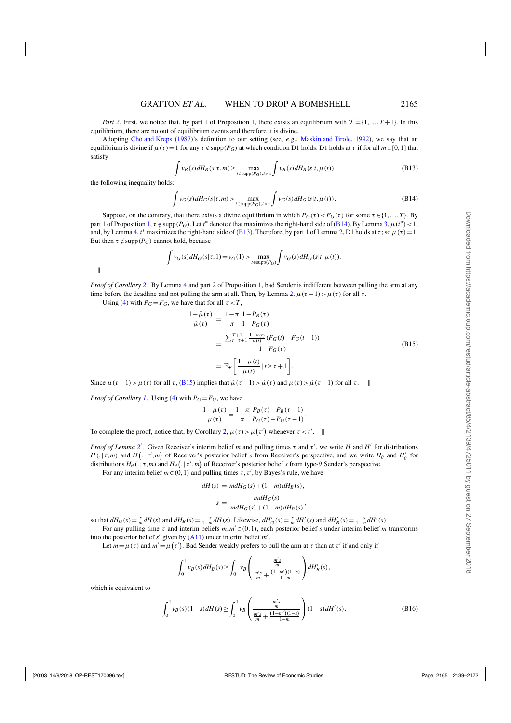<span id="page-26-0"></span>*Part 2.* First, we notice that, by part 1 of Proposition [1,](#page-8-0) there exists an equilibrium with  $\mathcal{T} = \{1, ..., T+1\}$ . In this equilibrium, there are no out of equilibrium events and therefore it is divine.

Adopting [Cho and Kreps](#page-32-0) [\(1987](#page-32-0))'s definition to our setting (see, *e*.*g*., [Maskin and Tirole,](#page-32-0) [1992](#page-32-0)), we say that an equilibrium is divine if  $\mu(\tau) = 1$  for any  $\tau \notin \text{supp}(P_G)$  at which condition D1 holds. D1 holds at  $\tau$  if for all  $m \in [0,1]$  that satisfy

$$
\int v_B(s) dH_B(s|\tau, m) \ge \max_{t \in \text{supp}(P_G), t > \tau} \int v_B(s) dH_B(s|t, \mu(t)) \tag{B13}
$$

the following inequality holds:

$$
\int v_G(s) dH_G(s|\tau, m) > \max_{t \in \text{supp}(P_G), t > \tau} \int v_G(s) dH_G(s|t, \mu(t)).
$$
\n(B14)

Suppose, on the contrary, that there exists a divine equilibrium in which  $P_G(\tau) < F_G(\tau)$  for some  $\tau \in \{1, ..., T\}$ . By part 1 of Proposition [1,](#page-8-0)  $\tau \notin \text{supp}(P_G)$ . Let *t*<sup>\*</sup> denote *t* that maximizes the right-hand side of (B14). By Lemma [3,](#page-7-0)  $\mu(t^*)$  < 1, and, by Lemma [4,](#page-7-0)  $t^*$  maximizes the right-hand side of (B13). Therefore, by part 1 of Lemma [2,](#page-6-0) D1 holds at  $\tau$ ; so  $\mu(\tau) = 1$ . But then  $\tau \notin \text{supp}(P_G)$  cannot hold, because

$$
\int v_G(s) dH_G(s|\tau, 1) = v_G(1) > \max_{t \in \text{supp}(P_G)} \int v_G(s) dH_G(s|t, \mu(t)).
$$

 $\parallel$ 

*Proof of Corollary [2](#page-9-0)*. By Lemma [4](#page-7-0) and part 2 of Proposition [1,](#page-8-0) bad Sender is indifferent between pulling the arm at any time before the deadline and not pulling the arm at all. Then, by Lemma [2,](#page-6-0)  $\mu(\tau - 1) > \mu(\tau)$  for all  $\tau$ .

Using [\(4\)](#page-8-0) with  $P_G = F_G$ , we have that for all  $\tau < T$ ,

$$
\frac{1 - \tilde{\mu}(\tau)}{\tilde{\mu}(\tau)} = \frac{1 - \pi}{\pi} \frac{1 - P_B(\tau)}{1 - P_G(\tau)}
$$
\n
$$
= \frac{\sum_{t=\tau+1}^{T+1} \frac{1 - \mu(t)}{\mu(t)} (F_G(t) - F_G(t-1))}{1 - F_G(\tau)}
$$
\n
$$
= \mathbb{E}_F \left[ \frac{1 - \mu(t)}{\mu(t)} | t \ge \tau + 1 \right].
$$
\n(B15)

Since  $\mu(\tau - 1) > \mu(\tau)$  for all  $\tau$ , (B15) implies that  $\tilde{\mu}(\tau - 1) > \tilde{\mu}(\tau)$  and  $\mu(\tau) > \tilde{\mu}(\tau - 1)$  for all  $\tau$ .

*Proof of Corollary [1](#page-8-0).* Using [\(4\)](#page-8-0) with  $P_G = F_G$ , we have

$$
\frac{1-\mu(\tau)}{\mu(\tau)} = \frac{1-\pi}{\pi} \frac{P_B(\tau) - P_B(\tau - 1)}{P_G(\tau) - P_G(\tau - 1)}.
$$

To complete the proof, notice that, by Corollary [2,](#page-9-0)  $\mu(\tau) > \mu(\tau')$  whenever  $\tau < \tau'$ .

*Proof of Lemma [2](#page-6-0)'*. Given Receiver's interim belief *m* and pulling times  $\tau$  and  $\tau'$ , we write *H* and *H'* for distributions  $H(.) \neq m$  and  $H(.) \neq m'$  of Receiver's posterior belief *s* from Receiver's perspective, and we write  $H_\theta$  and  $H'_\theta$  for distributions  $H_{\theta}$  (. |  $\tau$ ,*m*) and  $H_{\theta}$  (. |  $\tau'$ ,*m*) of Receiver's posterior belief *s* from type- $\theta$  Sender's perspective.

For any interim belief  $m \in (0, 1)$  and pulling times  $\tau$ ,  $\tau'$ , by Bayes's rule, we have

$$
dH(s) = mdH_G(s) + (1-m)dH_B(s),
$$
  

$$
s = \frac{mdH_G(s)}{mdH_G(s) + (1-m)dH_B(s)},
$$

so that  $dH_G(s) = \frac{s}{m} dH(s)$  and  $dH_B(s) = \frac{1-s}{1-m} dH(s)$ . Likewise,  $dH'_G(s) = \frac{s}{m} dH'(s)$  and  $dH'_B(s) = \frac{1-s}{1-m} dH'(s)$ .

For any pulling time  $\tau$  and interim beliefs  $m, m' \in (0, 1)$ , each posterior belief *s* under interim belief *m* transforms into the posterior belief  $s'$  given by  $(A11)$  under interim belief  $m'$ .

Let  $m = \mu(\tau)$  and  $m' = \mu(\tau')$ . Bad Sender weakly prefers to pull the arm at  $\tau$  than at  $\tau'$  if and only if

$$
\int_0^1 v_B(s) dH_B(s) \ge \int_0^1 v_B\left(\frac{\frac{m' s}{m}}{\frac{m' s}{m} + \frac{(1-m')(1-s)}{1-m}}\right) dH'_B(s),
$$

which is equivalent to

$$
\int_0^1 v_B(s)(1-s) dH(s) \ge \int_0^1 v_B\left(\frac{\frac{m's}{m}}{\frac{m's}{m} + \frac{(1-m')(1-s)}{1-m}}\right) (1-s) dH'(s).
$$
 (B16)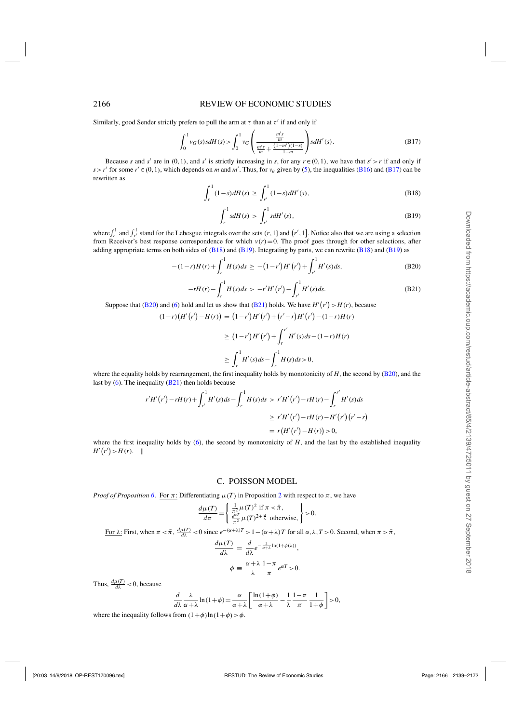#### <span id="page-27-0"></span>2166 REVIEW OF ECONOMIC STUDIES

Similarly, good Sender strictly prefers to pull the arm at  $\tau$  than at  $\tau'$  if and only if

$$
\int_0^1 v_G(s) s dH(s) > \int_0^1 v_G \left( \frac{\frac{m's}{m}}{\frac{m's}{m} + \frac{(1-m')(1-s)}{1-m}} \right) s dH'(s).
$$
 (B17)

Because *s* and *s'* are in (0,1), and *s'* is strictly increasing in *s*, for any  $r \in (0,1)$ , we have that  $s' > r$  if and only if  $s > r'$  for some  $r' \in (0,1)$ , which depends on *m* and *m'*. Thus, for  $v_{\theta}$  given by [\(5\)](#page-9-0), the inequalities [\(B16\)](#page-26-0) and (B17) can be rewritten as

$$
\int_{r}^{1} (1-s)dH(s) \ge \int_{r'}^{1} (1-s)dH'(s),
$$
\n(B18)

$$
\int_{r}^{1} s dH(s) > \int_{r'}^{1} s dH'(s),
$$
\n(B19)

where  $\int_r^1$  and  $\int_{r'}^1$  stand for the Lebesgue integrals over the sets  $(r, 1]$  and  $(r', 1]$ . Notice also that we are using a selection from Receiver's best response correspondence for which  $v(r) = 0$ . The proof goes through for other selections, after adding appropriate terms on both sides of  $(B18)$  and  $(B19)$ . Integrating by parts, we can rewrite  $(B18)$  and  $(B19)$  as

$$
-(1-r)H(r) + \int_{r}^{1} H(s)ds \ge -(1-r')H'(r') + \int_{r'}^{1} H'(s)ds,
$$
 (B20)

$$
-rH(r) - \int_{r}^{1} H(s)ds > -r'H'(r') - \int_{r'}^{1} H'(s)ds.
$$
 (B21)

Suppose that (B20) and [\(6\)](#page-11-0) hold and let us show that (B21) holds. We have  $H'(r') > H(r)$ , because

$$
(1-r)(H'(r') - H(r)) = (1-r')H'(r') + (r'-r)H'(r') - (1-r)H(r)
$$
  
\n
$$
\geq (1-r')H'(r') + \int_r^{r'} H'(s)ds - (1-r)H(r)
$$
  
\n
$$
\geq \int_r^1 H'(s)ds - \int_r^1 H(s)ds > 0,
$$

where the equality holds by rearrangement, the first inequality holds by monotonicity of *H*, the second by (B20), and the last by  $(6)$ . The inequality  $(B21)$  then holds because

$$
r'H'(r') - rH(r) + \int_{r'}^{1} H'(s)ds - \int_{r}^{1} H(s)ds \ > \ r'H'(r') - rH(r) - \int_{r}^{r'} H'(s)ds
$$
  
\n
$$
\geq r'H'(r') - rH(r) - H'(r')\left(r' - r\right)
$$
  
\n
$$
= r\left(H'(r') - H(r)\right) > 0,
$$

where the first inequality holds by  $(6)$ , the second by monotonicity of *H*, and the last by the established inequality  $H'(r') > H(r).$ 

#### C. POISSON MODEL

*Proof of Proposition* [6](#page-15-0). For  $\pi$ : Differentiating  $\mu(T)$  in Proposition [2](#page-13-0) with respect to  $\pi$ , we have

$$
\frac{d\mu(T)}{d\pi} = \begin{cases} \frac{1}{\pi^2} \mu(T)^2 \text{ if } \pi < \bar{\pi}, \\ \frac{e^{\alpha T}}{\pi^2} \mu(T)^{2 + \frac{\alpha}{\lambda}} \text{ otherwise,} \end{cases} > 0.
$$

<u>For λ:</u> First, when  $\pi < \bar{\pi}$ ,  $\frac{d\mu(T)}{d\lambda} < 0$  since  $e^{-(\alpha + \lambda)T} > 1 - (\alpha + \lambda)T$  for all α, λ, T > 0. Second, when  $\pi > \bar{\pi}$ ,

$$
\frac{d\mu(T)}{d\lambda} = \frac{d}{d\lambda}e^{-\frac{\lambda}{\alpha+\lambda}\ln(1+\phi(\lambda))},
$$

$$
\phi = \frac{\alpha+\lambda}{\lambda}\frac{1-\pi}{\pi}e^{\alpha T} > 0.
$$

Thus,  $\frac{d\mu(T)}{d\lambda}$  < 0, because

$$
\frac{d}{d\lambda}\frac{\lambda}{\alpha+\lambda}\ln(1+\phi) = \frac{\alpha}{\alpha+\lambda}\left[\frac{\ln(1+\phi)}{\alpha+\lambda} - \frac{1}{\lambda}\frac{1-\pi}{\pi}\frac{1}{1+\phi}\right] > 0,
$$

where the inequality follows from  $(1+\phi) \ln(1+\phi) > \phi$ .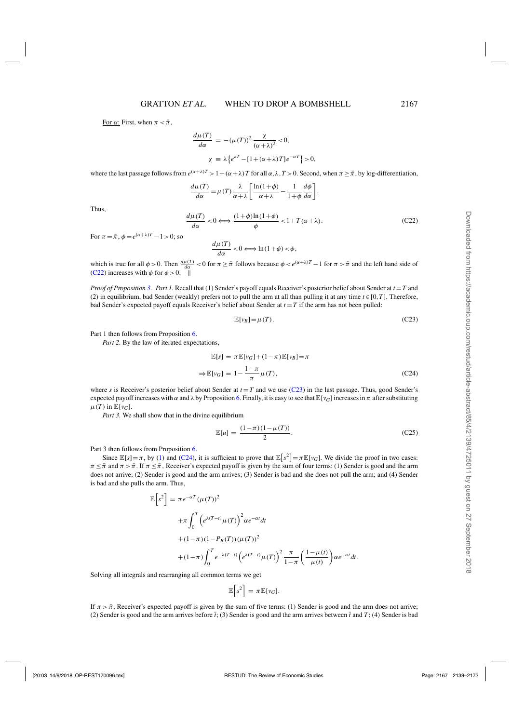For  $\alpha$ : First, when  $\pi < \bar{\pi}$ ,

$$
\frac{d\mu(T)}{d\alpha} = -(\mu(T))^2 \frac{\chi}{(\alpha + \lambda)^2} < 0,
$$
  

$$
\chi \equiv \lambda \{e^{\lambda T} - [1 + (\alpha + \lambda)T]e^{-\alpha T}\} > 0,
$$

where the last passage follows from  $e^{(\alpha+\lambda)T} > 1 + (\alpha+\lambda)T$  for all  $\alpha, \lambda, T > 0$ . Second, when  $\pi \geq \bar{\pi}$ , by log-differentiation,

$$
\frac{d\mu(T)}{d\alpha} = \mu(T) \frac{\lambda}{\alpha + \lambda} \left[ \frac{\ln(1+\phi)}{\alpha + \lambda} - \frac{1}{1+\phi} \frac{d\phi}{d\alpha} \right].
$$

Thus,

$$
\frac{d\mu(T)}{d\alpha} < 0 \Longleftrightarrow \frac{(1+\phi)\ln(1+\phi)}{\phi} < 1 + T(\alpha+\lambda). \tag{C22}
$$

For  $\pi = \bar{\pi}$ ,  $\phi = e^{(\alpha + \lambda)T} - 1 > 0$ ; so

$$
\frac{d\mu(T)}{d\alpha} < 0 \Longleftrightarrow \ln(1+\phi) < \phi,
$$

which is true for all  $\phi > 0$ . Then  $\frac{d\mu(T)}{d\alpha} < 0$  for  $\pi \geq \bar{\pi}$  follows because  $\phi < e^{(\alpha + \lambda)T} - 1$  for  $\pi > \bar{\pi}$  and the left hand side of (C22) increases with  $\phi$  for  $\phi > 0$ .

*Proof of Proposition [3](#page-14-0)*. *Part 1.* Recall that (1) Sender's payoff equals Receiver's posterior belief about Sender at *t* =*T* and (2) in equilibrium, bad Sender (weakly) prefers not to pull the arm at all than pulling it at any time  $t \in [0, T]$ . Therefore, bad Sender's expected payoff equals Receiver's belief about Sender at  $t = T$  if the arm has not been pulled:

$$
\mathbb{E}[v_B] = \mu(T). \tag{C23}
$$

Part 1 then follows from Proposition [6.](#page-15-0)

*Part 2.* By the law of iterated expectations,

$$
\mathbb{E}[s] = \pi \mathbb{E}[v_G] + (1 - \pi) \mathbb{E}[v_B] = \pi
$$
  
\n
$$
\Rightarrow \mathbb{E}[v_G] = 1 - \frac{1 - \pi}{\pi} \mu(T),
$$
\n(C24)

where *s* is Receiver's posterior belief about Sender at  $t = T$  and we use (C23) in the last passage. Thus, good Sender's expected payoff increases with  $\alpha$  and  $\lambda$  by Proposition [6.](#page-15-0) Finally, it is easy to see that  $\mathbb{E}[v_G]$  increases in  $\pi$  after substituting  $\mu(T)$  in  $\mathbb{E}[v_G]$ .

*Part 3.* We shall show that in the divine equilibrium

$$
\mathbb{E}[u] = \frac{(1-\pi)(1-\mu(T))}{2}.
$$
 (C25)

Part 3 then follows from Proposition [6.](#page-15-0)

Since  $\mathbb{E}[s] = \pi$ , by [\(1\)](#page-6-0) and (C24), it is sufficient to prove that  $\mathbb{E}[s^2] = \pi \mathbb{E}[v_G]$ . We divide the proof in two cases:  $\pi \leq \bar{\pi}$  and  $\pi > \bar{\pi}$ . If  $\pi \leq \bar{\pi}$ , Receiver's expected payoff is given by the sum of four terms: (1) Sender is good and the arm does not arrive; (2) Sender is good and the arm arrives; (3) Sender is bad and she does not pull the arm; and (4) Sender is bad and she pulls the arm. Thus,

$$
\mathbb{E}\left[s^2\right] = \pi e^{-\alpha T} (\mu(T))^2
$$
  
+
$$
\pi \int_0^T \left(e^{\lambda(T-t)}\mu(T)\right)^2 \alpha e^{-\alpha t} dt
$$
  
+
$$
(1-\pi)(1-P_B(T))(\mu(T))^2
$$
  
+
$$
(1-\pi)\int_0^T e^{-\lambda(T-t)} \left(e^{\lambda(T-t)}\mu(T)\right)^2 \frac{\pi}{1-\pi} \left(\frac{1-\mu(t)}{\mu(t)}\right) \alpha e^{-\alpha t} dt.
$$

Solving all integrals and rearranging all common terms we get

$$
\mathbb{E}\big[s^2\big] = \pi \mathbb{E}[v_G].
$$

If  $\pi > \bar{\pi}$ , Receiver's expected payoff is given by the sum of five terms: (1) Sender is good and the arm does not arrive; (2) Sender is good and the arm arrives before  $\bar{t}$ ; (3) Sender is good and the arm arrives between  $\bar{t}$  and  $T$ ; (4) Sender is bad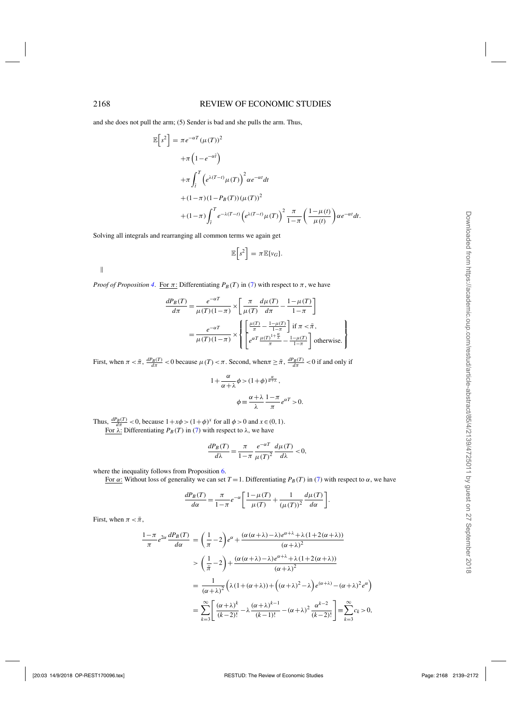and she does not pull the arm; (5) Sender is bad and she pulls the arm. Thus,

$$
\mathbb{E}\left[s^2\right] = \pi e^{-\alpha T} (\mu(T))^2
$$
  
+
$$
\pi \left(1 - e^{-\alpha T}\right)
$$
  
+
$$
\pi \int_{\tilde{t}}^T \left(e^{\lambda(T-t)} \mu(T)\right)^2 \alpha e^{-\alpha t} dt
$$
  
+
$$
(1 - \pi)(1 - P_B(T))(\mu(T))^2
$$
  
+
$$
(1 - \pi)\int_{\tilde{t}}^T e^{-\lambda(T-t)} \left(e^{\lambda(T-t)} \mu(T)\right)^2 \frac{\pi}{1 - \pi} \left(\frac{1 - \mu(t)}{\mu(t)}\right) \alpha e^{-\alpha t} dt.
$$

Solving all integrals and rearranging all common terms we again get

$$
\mathbb{E}\bigg[s^2\bigg] = \pi \mathbb{E}[v_G].
$$

 $\parallel$ 

*Proof of Proposition* [4](#page-14-0). For  $\pi$ : Differentiating  $P_B(T)$  in [\(7\)](#page-14-0) with respect to  $\pi$ , we have

$$
\frac{dP_B(T)}{d\pi} = \frac{e^{-\alpha T}}{\mu(T)(1-\pi)} \times \left[ \frac{\pi}{\mu(T)} \frac{d\mu(T)}{d\pi} - \frac{1-\mu(T)}{1-\pi} \right]
$$

$$
= \frac{e^{-\alpha T}}{\mu(T)(1-\pi)} \times \left\{ \left[ \frac{\frac{\mu(T)}{\pi} - \frac{1-\mu(T)}{1-\pi}}{\frac{1-\pi}{\pi}} \right] \text{if } \pi < \bar{\pi}, \right\}
$$

$$
= \frac{e^{-\alpha T}}{\mu(T)(1-\pi)} \times \left\{ \left[ \frac{e^{\alpha T} \frac{\mu(T)^{1+\frac{\alpha}{\pi}}}{\pi} - \frac{1-\mu(T)}{1-\pi}}{\frac{1-\mu(T)}{1-\pi}} \right] \text{otherwise.} \right\}
$$

First, when  $\pi < \bar{\pi}$ ,  $\frac{dP_B(T)}{d\pi} < 0$  because  $\mu(T) < \pi$ . Second, when  $\pi \ge \bar{\pi}$ ,  $\frac{dP_B(T)}{d\pi} < 0$  if and only if

$$
1 + \frac{\alpha}{\alpha + \lambda} \phi > (1 + \phi)^{\frac{\alpha}{\alpha + \lambda}},
$$
\n
$$
\phi \equiv \frac{\alpha + \lambda}{\lambda} \frac{1 - \pi}{\pi} e^{\alpha T} > 0.
$$

Thus,  $\frac{dP_B(T)}{d\pi}$  < 0, because  $1 + x\phi > (1 + \phi)^x$  for all  $\phi > 0$  and  $x \in (0, 1)$ . For  $λ$ : Differentiating  $P_B(T)$  in [\(7\)](#page-14-0) with respect to  $λ$ , we have

$$
\frac{dP_B(T)}{d\lambda} = \frac{\pi}{1-\pi} \frac{e^{-\alpha T}}{\mu(T)^2} \frac{d\mu(T)}{d\lambda} < 0,
$$

where the inequality follows from Proposition [6.](#page-15-0)

For  $\alpha$ : Without loss of generality we can set *T* = 1. Differentiating *P<sub>B</sub>* (*T*) in (*7*) with respect to  $\alpha$ , we have

$$
\frac{dP_B(T)}{d\alpha} = \frac{\pi}{1-\pi} e^{-\alpha} \left[ \frac{1-\mu(T)}{\mu(T)} + \frac{1}{(\mu(T))^2} \frac{d\mu(T)}{d\alpha} \right].
$$

First, when  $\pi < \bar{\pi}$ ,

$$
\frac{1-\pi}{\pi}e^{2\alpha}\frac{dP_B(T)}{d\alpha} = \left(\frac{1}{\pi} - 2\right)e^{\alpha} + \frac{(\alpha(\alpha+\lambda)-\lambda)e^{\alpha+\lambda} + \lambda(1+2(\alpha+\lambda))}{(\alpha+\lambda)^2}
$$

$$
> \left(\frac{1}{\pi} - 2\right) + \frac{(\alpha(\alpha+\lambda)-\lambda)e^{\alpha+\lambda} + \lambda(1+2(\alpha+\lambda))}{(\alpha+\lambda)^2}
$$

$$
= \frac{1}{(\alpha+\lambda)^2}\left(\lambda(1+(\alpha+\lambda)) + \left((\alpha+\lambda)^2 - \lambda\right)e^{(\alpha+\lambda)} - (\alpha+\lambda)^2e^{\alpha}\right)
$$

$$
= \sum_{k=3}^{\infty} \left[\frac{(\alpha+\lambda)^k}{(k-2)!} - \lambda\frac{(\alpha+\lambda)^{k-1}}{(k-1)!} - (\alpha+\lambda)^2\frac{\alpha^{k-2}}{(k-2)!}\right] = \sum_{k=3}^{\infty} c_k > 0,
$$

Ι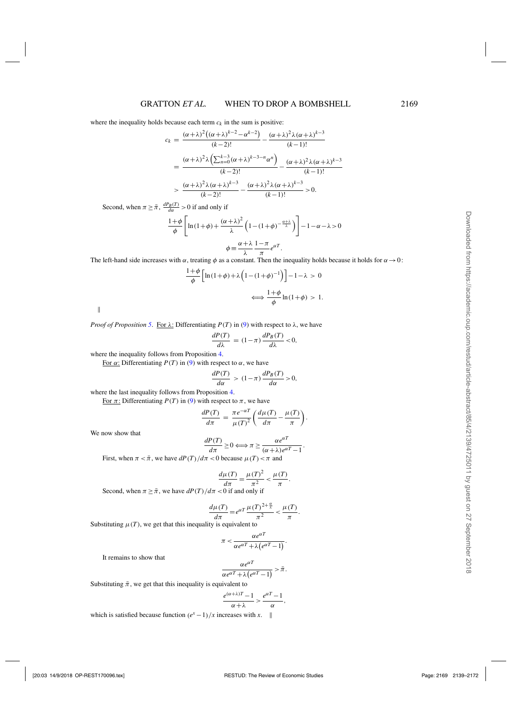where the inequality holds because each term  $c_k$  in the sum is positive:

$$
c_k = \frac{(\alpha + \lambda)^2 ((\alpha + \lambda)^{k-2} - \alpha^{k-2})}{(k-2)!} - \frac{(\alpha + \lambda)^2 \lambda (\alpha + \lambda)^{k-3}}{(k-1)!}
$$
  
= 
$$
\frac{(\alpha + \lambda)^2 \lambda \left(\sum_{n=0}^{k-3} (\alpha + \lambda)^{k-3-n} \alpha^n\right)}{(k-2)!} - \frac{(\alpha + \lambda)^2 \lambda (\alpha + \lambda)^{k-3}}{(k-1)!}
$$
  
> 
$$
\frac{(\alpha + \lambda)^2 \lambda (\alpha + \lambda)^{k-3}}{(k-2)!} - \frac{(\alpha + \lambda)^2 \lambda (\alpha + \lambda)^{k-3}}{(k-1)!} > 0.
$$

Second, when  $\pi \geq \bar{\pi}$ ,  $\frac{dP_B(T)}{d\alpha} > 0$  if and only if

$$
\frac{1+\phi}{\phi} \left[ \ln(1+\phi) + \frac{(\alpha+\lambda)^2}{\lambda} \left( 1 - (1+\phi)^{-\frac{\alpha+\lambda}{\lambda}} \right) \right] - 1 - \alpha - \lambda > 0
$$

$$
\phi \equiv \frac{\alpha+\lambda}{\lambda} \frac{1-\pi}{\pi} e^{\alpha T}.
$$

The left-hand side increases with  $\alpha$ , treating  $\phi$  as a constant. Then the inequality holds because it holds for  $\alpha \to 0$ :

$$
\frac{1+\phi}{\phi} \left[ \ln(1+\phi) + \lambda \left( 1 - (1+\phi)^{-1} \right) \right] - 1 - \lambda > 0
$$
\n
$$
\iff \frac{1+\phi}{\phi} \ln(1+\phi) > 1.
$$

 $\parallel$ 

*Proof of Proposition* [5](#page-15-0). For  $\lambda$ : Differentiating  $P(T)$  in [\(9\)](#page-14-0) with respect to  $\lambda$ , we have

$$
\frac{dP(T)}{d\lambda} = (1 - \pi) \frac{dP_B(T)}{d\lambda} < 0,
$$

where the inequality follows from Proposition [4.](#page-14-0)

For  $\alpha$ : Differentiating  $P(T)$  in [\(9\)](#page-14-0) with respect to  $\alpha$ , we have

$$
\frac{dP(T)}{d\alpha} > (1-\pi)\frac{dP_B(T)}{d\alpha} > 0,
$$

where the last inequality follows from Proposition [4.](#page-14-0)

For  $\pi$ : Differentiating *P*(*T*) in [\(9\)](#page-14-0) with respect to  $\pi$ , we have

$$
\frac{dP(T)}{d\pi} = \frac{\pi e^{-\alpha T}}{\mu(T)^2} \left( \frac{d\mu(T)}{d\pi} - \frac{\mu(T)}{\pi} \right).
$$

We now show that

$$
\frac{dP(T)}{d\pi} \ge 0 \Longleftrightarrow \pi \ge \frac{\alpha e^{\alpha T}}{(\alpha + \lambda)e^{\alpha T} - 1}.
$$

First, when  $\pi < \bar{\pi}$ , we have  $dP(T)/d\pi < 0$  because  $\mu(T) < \pi$  and

$$
\frac{d\mu(T)}{d\pi} = \frac{\mu(T)^2}{\pi^2} < \frac{\mu(T)}{\pi}.
$$

Second, when  $\pi > \bar{\pi}$ , we have  $dP(T)/d\pi < 0$  if and only if

$$
\frac{d\mu(T)}{d\pi} = e^{\alpha T} \frac{\mu(T)^{2+\frac{\alpha}{\lambda}}}{\pi^2} < \frac{\mu(T)}{\pi}.
$$

Substituting  $\mu(T)$ , we get that this inequality is equivalent to

$$
\pi < \frac{\alpha e^{\alpha T}}{\alpha e^{\alpha T} + \lambda \left( e^{\alpha T} - 1 \right)}.
$$

It remains to show that

$$
\frac{\alpha e^{\alpha T}}{\alpha e^{\alpha T} + \lambda (e^{\alpha T} - 1)} > \bar{\pi}.
$$

Substituting  $\bar{\pi}$ , we get that this inequality is equivalent to

$$
\frac{e^{(\alpha+\lambda)T}-1}{\alpha+\lambda} > \frac{e^{\alpha T}-1}{\alpha},
$$

which is satisfied because function  $(e^x - 1)/x$  increases with *x*. ||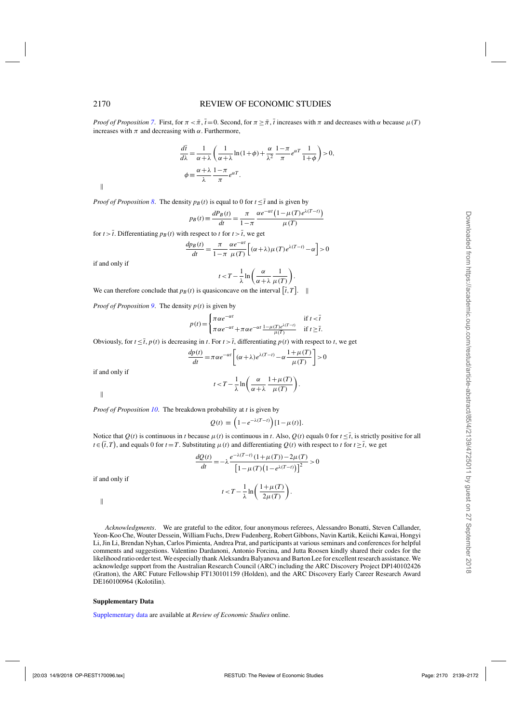*Proof of Proposition* [7](#page-15-0). First, for  $\pi < \pi$ ,  $\bar{t} = 0$ . Second, for  $\pi \geq \bar{\pi}$ ,  $\bar{t}$  increases with  $\pi$  and decreases with  $\alpha$  because  $\mu(T)$ increases with  $\pi$  and decreasing with  $\alpha$ . Furthermore,

$$
\frac{d\bar{t}}{d\lambda} = \frac{1}{\alpha + \lambda} \left( \frac{1}{\alpha + \lambda} \ln(1 + \phi) + \frac{\alpha}{\lambda^2} \frac{1 - \pi}{\pi} e^{\alpha T} \frac{1}{1 + \phi} \right) > 0,
$$
  

$$
\phi \equiv \frac{\alpha + \lambda}{\lambda} \frac{1 - \pi}{\pi} e^{\alpha T}.
$$

 $\parallel$ 

*Proof of Proposition* [8](#page-15-0). The density  $p_B(t)$  is equal to 0 for  $t \leq \overline{t}$  and is given by

$$
p_B(t) \equiv \frac{dP_B(t)}{dt} = \frac{\pi}{1 - \pi} \frac{\alpha e^{-\alpha t} (1 - \mu(T) e^{\lambda(T - t)})}{\mu(T)}
$$

for  $t > \overline{t}$ . Differentiating  $p_B(t)$  with respect to  $t$  for  $t > \overline{t}$ , we get

$$
\frac{dp_B(t)}{dt} = \frac{\pi}{1-\pi} \frac{\alpha e^{-\alpha t}}{\mu(T)} \left[ (\alpha + \lambda) \mu(T) e^{\lambda(T-t)} - \alpha \right] > 0
$$

if and only if

$$
t < T - \frac{1}{\lambda} \ln \left( \frac{\alpha}{\alpha + \lambda} \frac{1}{\mu(T)} \right).
$$

We can therefore conclude that  $p_B(t)$  is quasiconcave on the interval  $[\bar{t}, T]$ .

*Proof of Proposition* [9](#page-16-0). The density  $p(t)$  is given by

$$
p(t) = \begin{cases} \pi \alpha e^{-\alpha t} & \text{if } t < \overline{t} \\ \pi \alpha e^{-\alpha t} + \pi \alpha e^{-\alpha t} \frac{1 - \mu(T) e^{\lambda(T - t)}}{\mu(T)} & \text{if } t \ge \overline{t}. \end{cases}
$$

Obviously, for  $t \leq \overline{t}$ ,  $p(t)$  is decreasing in *t*. For  $t > \overline{t}$ , differentiating  $p(t)$  with respect to *t*, we get

$$
\frac{dp(t)}{dt} = \pi \alpha e^{-\alpha t} \left[ (\alpha + \lambda) e^{\lambda (T - t)} - \alpha \frac{1 + \mu (T)}{\mu (T)} \right] > 0
$$

if and only if

$$
t < T - \frac{1}{\lambda} \ln \left( \frac{\alpha}{\alpha + \lambda} \frac{1 + \mu(T)}{\mu(T)} \right).
$$

 $\parallel$ 

*Proof of Proposition [10](#page-17-0)*. The breakdown probability at *t* is given by

$$
Q(t) \equiv \left(1 - e^{-\lambda(T-t)}\right)[1 - \mu(t)].
$$

Notice that  $O(t)$  is continuous in *t* because  $\mu(t)$  is continuous in *t*. Also,  $O(t)$  equals 0 for  $t \leq \bar{t}$ , is strictly positive for all  $t \in (\bar{t}, T)$ , and equals 0 for  $t = T$ . Substituting  $\mu(t)$  and differentiating  $Q(t)$  with respect to *t* for  $t \geq \bar{t}$ , we get

$$
\frac{dQ(t)}{dt} = -\lambda \frac{e^{-\lambda(T-t)}(1+\mu(T)) - 2\mu(T)}{\left[1 - \mu(T)\left(1 - e^{\lambda(T-t)}\right)\right]^2} > 0
$$
  

$$
t < T - \frac{1}{\lambda} \ln\left(\frac{1 + \mu(T)}{2\mu(T)}\right).
$$

 $\parallel$ 

if and only if

*Acknowledgments*. We are grateful to the editor, four anonymous referees, Alessandro Bonatti, Steven Callander, Yeon-Koo Che, Wouter Dessein, William Fuchs, Drew Fudenberg, Robert Gibbons, Navin Kartik, Keiichi Kawai, Hongyi Li, Jin Li, Brendan Nyhan, Carlos Pimienta, Andrea Prat, and participants at various seminars and conferences for helpful comments and suggestions. Valentino Dardanoni, Antonio Forcina, and Jutta Roosen kindly shared their codes for the likelihood ratio order test. We especially thank Aleksandra Balyanova and Barton Lee for excellent research assistance. We acknowledge support from the Australian Research Council (ARC) including the ARC Discovery Project DP140102426 (Gratton), the ARC Future Fellowship FT130101159 (Holden), and the ARC Discovery Early Career Research Award DE160100964 (Kolotilin).

#### **Supplementary Data**

[Supplementary data](https://academic.oup.com/restud/article-lookup/doi/10.1093/restud/rdx070#supplementary-data) are available at *Review of Economic Studies* online.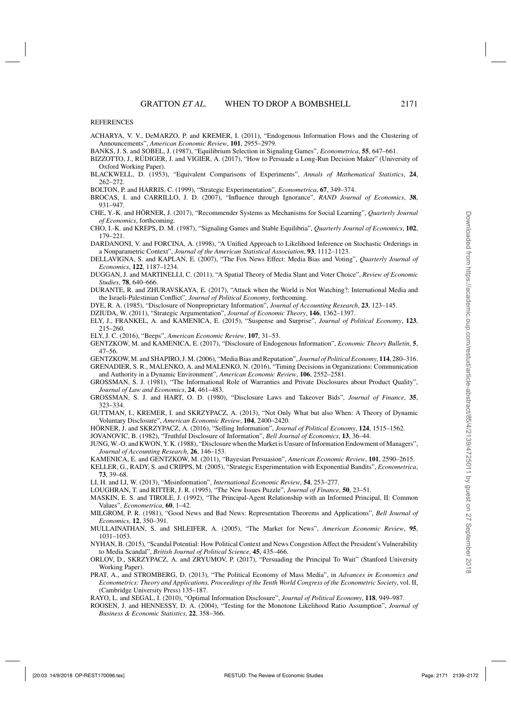#### <span id="page-32-0"></span>REFERENCES

- ACHARYA, V. V., DeMARZO, P. and KREMER, I. (2011), "Endogenous Information Flows and the Clustering of Announcements", *American Economic Review*, **101**, 2955–2979.
- BANKS, J. S. and SOBEL, J. (1987), "Equilibrium Selection in Signaling Games", *Econometrica*, **55**, 647–661.
- BIZZOTTO, J., RÜDIGER, J. and VIGIER, A. (2017), "How to Persuade a Long-Run Decision Maker" (University of Oxford Working Paper).
- BLACKWELL, D. (1953), "Equivalent Comparisons of Experiments", *Annals of Mathematical Statistics*, **24**, 262–272.
- BOLTON, P. and HARRIS, C. (1999), "Strategic Experimentation", *Econometrica*, **67**, 349–374.
- BROCAS, I. and CARRILLO, J. D. (2007), "Influence through Ignorance", *RAND Journal of Economics*, **38**, 931–947.
- CHE, Y.-K. and HÖRNER, J. (2017), "Recommender Systems as Mechanisms for Social Learning", *Quarterly Journal of Economics*, forthcoming.
- CHO, I.-K. and KREPS, D. M. (1987), "Signaling Games and Stable Equilibria", *Quarterly Journal of Economics*, **102**, 179–221.
- DARDANONI, V. and FORCINA, A. (1998), "A Unified Approach to Likelihood Inference on Stochastic Orderings in a Nonparametric Context", *Journal of the American Statistical Association*, **93**, 1112–1123.
- DELLAVIGNA, S. and KAPLAN, E. (2007), "The Fox News Effect: Media Bias and Voting", *Quarterly Journal of Economics*, **122**, 1187–1234.
- DUGGAN, J. and MARTINELLI, C. (2011), "A Spatial Theory of Media Slant and Voter Choice", *Review of Economic Studies*, **78**, 640–666.
- DURANTE, R. and ZHURAVSKAYA, E. (2017), "Attack when the World is Not Watching?: International Media and the Israeli-Palestinian Conflict", *Journal of Political Economy*, forthcoming.
- DYE, R. A. (1985), "Disclosure of Nonproprietary Information", *Journal of Accounting Research*, **23**, 123–145.
- DZIUDA, W. (2011), "Strategic Argumentation", *Journal of Economic Theory*, **146**, 1362–1397.
- ELY, J., FRANKEL, A. and KAMENICA, E. (2015), "Suspense and Surprise", *Journal of Political Economy*, **123**, 215–260.
- ELY, J. C. (2016), "Beeps", *American Economic Review*, **107**, 31–53.
- GENTZKOW, M. and KAMENICA, E. (2017), "Disclosure of Endogenous Information", *Economic Theory Bulletin*, **5**, 47–56.
- GENTZKOW, M. and SHAPIRO, J. M. (2006), "Media Bias and Reputation", *Journal of Political Economy*, **114**, 280–316. GRENADIER, S. R., MALENKO, A. and MALENKO, N. (2016), "Timing Decisions in Organizations: Communication

and Authority in a Dynamic Environment", *American Economic Review*, **106**, 2552–2581.

- GROSSMAN, S. J. (1981), "The Informational Role of Warranties and Private Disclosures about Product Quality", *Journal of Law and Economics*, **24**, 461–483.
- GROSSMAN, S. J. and HART, O. D. (1980), "Disclosure Laws and Takeover Bids", *Journal of Finance*, **35**, 323–334.
- GUTTMAN, I., KREMER, I. and SKRZYPACZ, A. (2013), "Not Only What but also When: A Theory of Dynamic Voluntary Disclosure", *American Economic Review*, **104**, 2400–2420.
- HÖRNER, J. and SKRZYPACZ, A. (2016), "Selling Information", *Journal of Political Economy*, **124**, 1515–1562.

JOVANOVIC, B. (1982), "Truthful Disclosure of Information", *Bell Journal of Economics*, **13**, 36–44.

- JUNG, W.-O. and KWON, Y. K. (1988), "Disclosure when the Market is Unsure of Information Endowment of Managers", *Journal of Accounting Research*, **26**, 146–153.
- KAMENICA, E. and GENTZKOW, M. (2011), "Bayesian Persuasion", *American Economic Review*, **101**, 2590–2615.
- KELLER, G., RADY, S. and CRIPPS, M. (2005), "Strategic Experimentation with Exponential Bandits", *Econometrica*, **73**, 39–68.
- LI, H. and LI, W. (2013), "Misinformation", *International Economic Review*, **54**, 253–277.
- LOUGHRAN, T. and RITTER, J. R. (1995), "The New Issues Puzzle", *Journal of Finance*, **50**, 23–51.
- MASKIN, E. S. and TIROLE, J. (1992), "The Principal-Agent Relationship with an Informed Principal, II: Common Values", *Econometrica*, **60**, 1–42.
- MILGROM, P. R. (1981), "Good News and Bad News: Representation Theorems and Applications", *Bell Journal of Economics*, **12**, 350–391.
- MULLAINATHAN, S. and SHLEIFER, A. (2005), "The Market for News", *American Economic Review*, **95**, 1031–1053.
- NYHAN, B. (2015), "Scandal Potential: How Political Context and News Congestion Affect the President's Vulnerability to Media Scandal", *British Journal of Political Science*, **45**, 435–466.
- ORLOV, D., SKRZYPACZ, A. and ZRYUMOV, P. (2017), "Persuading the Principal To Wait" (Stanford University Working Paper).
- PRAT, A., and STROMBERG, D. (2013), "The Political Economy of Mass Media", in *Advances in Economics and Econometrics: Theory and Applications, Proceedings of the Tenth World Congress of the Econometric Society*, vol. II, (Cambridge University Press) 135–187.
- RAYO, L. and SEGAL, I. (2010), "Optimal Information Disclosure", *Journal of Political Economy*, **118**, 949–987.
- ROOSEN, J. and HENNESSY, D. A. (2004), "Testing for the Monotone Likelihood Ratio Assumption", *Journal of Business & Economic Statistics*, **22**, 358–366.